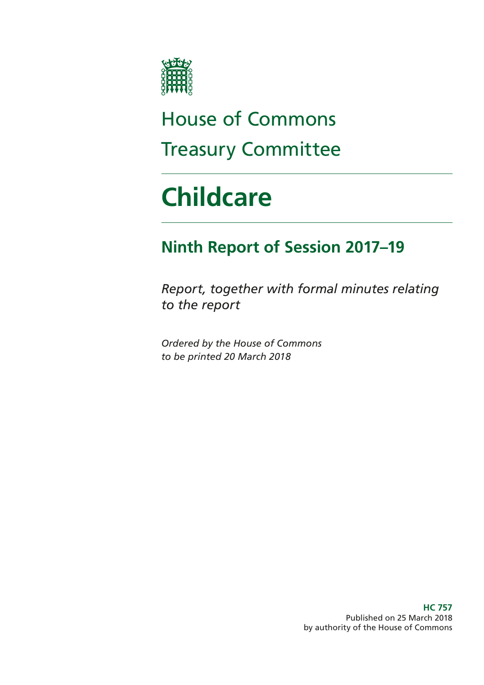

## House of Commons Treasury Committee

# **Childcare**

### **Ninth Report of Session 2017–19**

*Report, together with formal minutes relating to the report*

*Ordered by the House of Commons to be printed 20 March 2018*

> **HC 757** Published on 25 March 2018 by authority of the House of Commons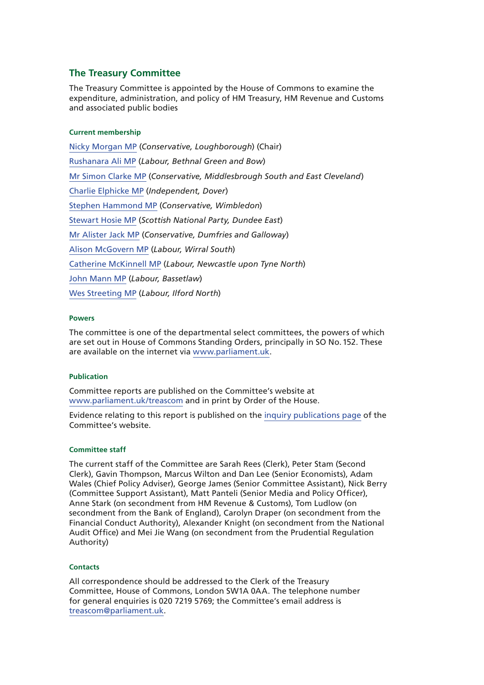#### **The Treasury Committee**

The Treasury Committee is appointed by the House of Commons to examine the expenditure, administration, and policy of HM Treasury, HM Revenue and Customs and associated public bodies

#### **Current membership**

[Nicky Morgan MP](https://www.parliament.uk/biographies/commons/nicky-morgan/4027) (*Conservative, Loughborough*) (Chair) [Rushanara Ali MP](https://www.parliament.uk/biographies/commons/rushanara-ali/4138) (*Labour, Bethnal Green and Bow*) [Mr Simon Clarke MP](https://www.parliament.uk/biographies/commons/mr-simon-clarke/4655) (*Conservative, Middlesbrough South and East Cleveland*) [Charlie Elphicke MP](https://www.parliament.uk/biographies/commons/charlie-elphicke/3971) (*Independent, Dover*) [Stephen Hammond MP](https://www.parliament.uk/biographies/commons/stephen-hammond/1585) (*Conservative, Wimbledon*) [Stewart Hosie MP](https://www.parliament.uk/biographies/commons/stewart-hosie/1514) (*Scottish National Party, Dundee East*) [Mr Alister Jack MP](https://www.parliament.uk/biographies/commons/mr-alister-jack/4619) (*Conservative, Dumfries and Galloway*) [Alison McGovern MP](https://www.parliament.uk/biographies/commons/alison-mcgovern/4083) (*Labour, Wirral South*) [Catherine McKinnell MP](https://www.parliament.uk/biographies/commons/catherine-mckinnell/4125) (*Labour, Newcastle upon Tyne North*) [John Mann MP](https://www.parliament.uk/biographies/commons/john-mann/1387) (*Labour, Bassetlaw*) [Wes Streeting MP](https://www.parliament.uk/biographies/commons/wes-streeting/4504) (*Labour, Ilford North*)

#### **Powers**

The committee is one of the departmental select committees, the powers of which are set out in House of Commons Standing Orders, principally in SO No.152. These are available on the internet via [www.parliament.uk.](http://www.parliament.uk/)

#### **Publication**

Committee reports are published on the Committee's website at [www.parliament.uk/treascom](http://www.parliament.uk/treascom) and in print by Order of the House.

Evidence relating to this report is published on the [inquiry publications page](https://www.parliament.uk/business/committees/committees-a-z/commons-select/treasury-committee/inquiries1/parliament-2017/childcare-17-19/publications/) of the Committee's website.

#### **Committee staff**

The current staff of the Committee are Sarah Rees (Clerk), Peter Stam (Second Clerk), Gavin Thompson, Marcus Wilton and Dan Lee (Senior Economists), Adam Wales (Chief Policy Adviser), George James (Senior Committee Assistant), Nick Berry (Committee Support Assistant), Matt Panteli (Senior Media and Policy Officer), Anne Stark (on secondment from HM Revenue & Customs), Tom Ludlow (on secondment from the Bank of England), Carolyn Draper (on secondment from the Financial Conduct Authority), Alexander Knight (on secondment from the National Audit Office) and Mei Jie Wang (on secondment from the Prudential Regulation Authority)

#### **Contacts**

All correspondence should be addressed to the Clerk of the Treasury Committee, House of Commons, London SW1A 0AA. The telephone number for general enquiries is 020 7219 5769; the Committee's email address is [treascom@parliament.uk](mailto:treascom%40parliament.uk?subject=).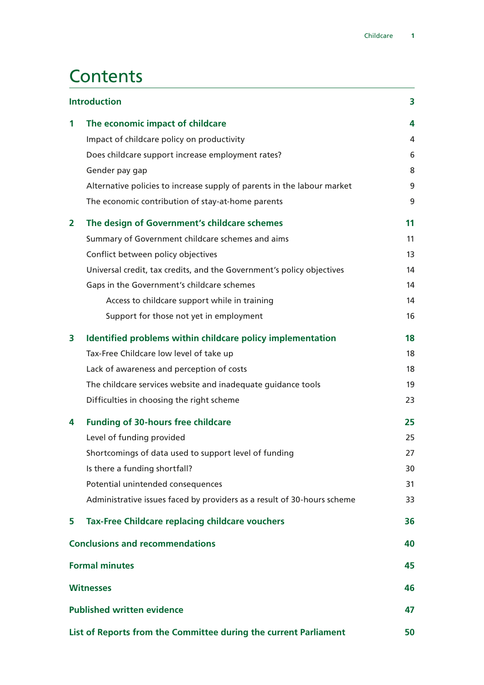### **Contents**

| <b>Introduction</b>                                              |                                                                         | 3  |
|------------------------------------------------------------------|-------------------------------------------------------------------------|----|
| 1                                                                | The economic impact of childcare                                        | 4  |
|                                                                  | Impact of childcare policy on productivity                              | 4  |
|                                                                  | Does childcare support increase employment rates?                       | 6  |
|                                                                  | Gender pay gap                                                          | 8  |
|                                                                  | Alternative policies to increase supply of parents in the labour market | 9  |
|                                                                  | The economic contribution of stay-at-home parents                       | 9  |
| $\mathbf{2}$                                                     | The design of Government's childcare schemes                            | 11 |
|                                                                  | Summary of Government childcare schemes and aims                        | 11 |
|                                                                  | Conflict between policy objectives                                      | 13 |
|                                                                  | Universal credit, tax credits, and the Government's policy objectives   | 14 |
|                                                                  | Gaps in the Government's childcare schemes                              | 14 |
|                                                                  | Access to childcare support while in training                           | 14 |
|                                                                  | Support for those not yet in employment                                 | 16 |
| 3                                                                | Identified problems within childcare policy implementation              | 18 |
|                                                                  | Tax-Free Childcare low level of take up                                 | 18 |
|                                                                  | Lack of awareness and perception of costs                               | 18 |
|                                                                  | The childcare services website and inadequate guidance tools            | 19 |
|                                                                  | Difficulties in choosing the right scheme                               | 23 |
| 4                                                                | <b>Funding of 30-hours free childcare</b>                               | 25 |
|                                                                  | Level of funding provided                                               | 25 |
|                                                                  | Shortcomings of data used to support level of funding                   | 27 |
|                                                                  | Is there a funding shortfall?                                           | 30 |
|                                                                  | Potential unintended consequences                                       | 31 |
|                                                                  | Administrative issues faced by providers as a result of 30-hours scheme | 33 |
| 5                                                                | <b>Tax-Free Childcare replacing childcare vouchers</b>                  | 36 |
|                                                                  | <b>Conclusions and recommendations</b>                                  | 40 |
| <b>Formal minutes</b>                                            |                                                                         | 45 |
| <b>Witnesses</b>                                                 |                                                                         | 46 |
| <b>Published written evidence</b>                                |                                                                         | 47 |
| List of Reports from the Committee during the current Parliament |                                                                         | 50 |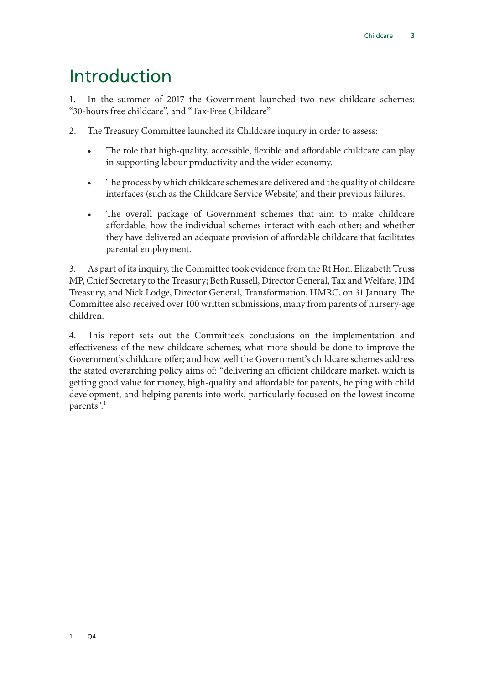### <span id="page-4-0"></span>Introduction

1. In the summer of 2017 the Government launched two new childcare schemes: "30-hours free childcare", and "Tax-Free Childcare".

- 2. The Treasury Committee launched its Childcare inquiry in order to assess:
	- The role that high-quality, accessible, flexible and affordable childcare can play in supporting labour productivity and the wider economy.
	- The process by which childcare schemes are delivered and the quality of childcare interfaces (such as the Childcare Service Website) and their previous failures.
	- The overall package of Government schemes that aim to make childcare affordable; how the individual schemes interact with each other; and whether they have delivered an adequate provision of affordable childcare that facilitates parental employment.

3. As part of its inquiry, the Committee took evidence from the Rt Hon. Elizabeth Truss MP, Chief Secretary to the Treasury; Beth Russell, Director General, Tax and Welfare, HM Treasury; and Nick Lodge, Director General, Transformation, HMRC, on 31 January. The Committee also received over 100 written submissions, many from parents of nursery-age children.

4. This report sets out the Committee's conclusions on the implementation and effectiveness of the new childcare schemes; what more should be done to improve the Government's childcare offer; and how well the Government's childcare schemes address the stated overarching policy aims of: "delivering an efficient childcare market, which is getting good value for money, high-quality and affordable for parents, helping with child development, and helping parents into work, particularly focused on the lowest-income parents".<sup>1</sup>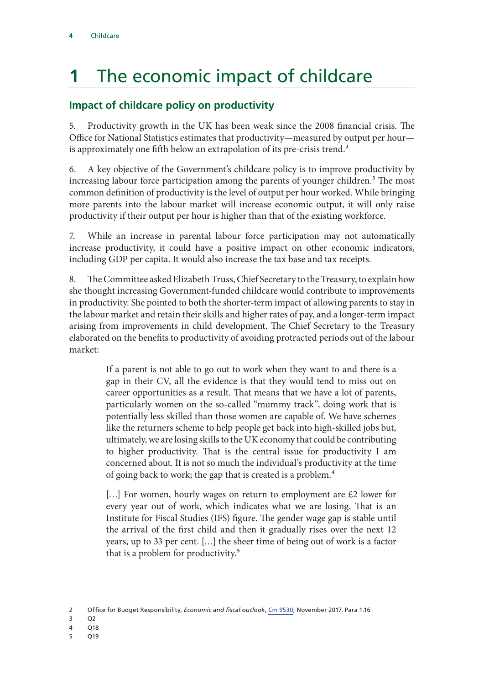### <span id="page-5-0"></span>**1** The economic impact of childcare

### **Impact of childcare policy on productivity**

5. Productivity growth in the UK has been weak since the 2008 financial crisis. The Office for National Statistics estimates that productivity—measured by output per hour is approximately one fifth below an extrapolation of its pre-crisis trend.<sup>2</sup>

6. A key objective of the Government's childcare policy is to improve productivity by increasing labour force participation among the parents of younger children.<sup>3</sup> The most common definition of productivity is the level of output per hour worked. While bringing more parents into the labour market will increase economic output, it will only raise productivity if their output per hour is higher than that of the existing workforce.

7. While an increase in parental labour force participation may not automatically increase productivity, it could have a positive impact on other economic indicators, including GDP per capita. It would also increase the tax base and tax receipts.

8. The Committee asked Elizabeth Truss, Chief Secretary to the Treasury, to explain how she thought increasing Government-funded childcare would contribute to improvements in productivity. She pointed to both the shorter-term impact of allowing parents to stay in the labour market and retain their skills and higher rates of pay, and a longer-term impact arising from improvements in child development. The Chief Secretary to the Treasury elaborated on the benefits to productivity of avoiding protracted periods out of the labour market:

> If a parent is not able to go out to work when they want to and there is a gap in their CV, all the evidence is that they would tend to miss out on career opportunities as a result. That means that we have a lot of parents, particularly women on the so-called "mummy track", doing work that is potentially less skilled than those women are capable of. We have schemes like the returners scheme to help people get back into high-skilled jobs but, ultimately, we are losing skills to the UK economy that could be contributing to higher productivity. That is the central issue for productivity I am concerned about. It is not so much the individual's productivity at the time of going back to work; the gap that is created is a problem.4

> $\left[\ldots\right]$  For women, hourly wages on return to employment are £2 lower for every year out of work, which indicates what we are losing. That is an Institute for Fiscal Studies (IFS) figure. The gender wage gap is stable until the arrival of the first child and then it gradually rises over the next 12 years, up to 33 per cent. […] the sheer time of being out of work is a factor that is a problem for productivity.<sup>5</sup>

- 3 Q2
- 4 Q18
- 5 Q19

<sup>2</sup> Office for Budget Responsibility, *Economic and fiscal outlook*, [Cm 9530,](http://cdn.obr.uk/Nov2017EFOwebversion-2.pdf) November 2017, Para 1.16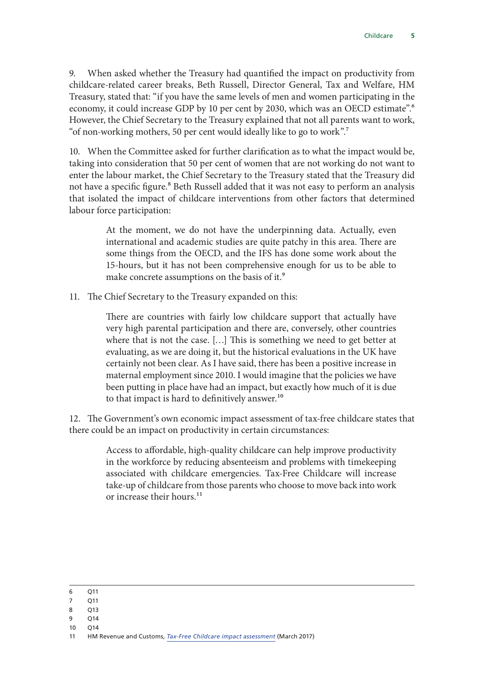9. When asked whether the Treasury had quantified the impact on productivity from childcare-related career breaks, Beth Russell, Director General, Tax and Welfare, HM Treasury, stated that: "if you have the same levels of men and women participating in the economy, it could increase GDP by 10 per cent by 2030, which was an OECD estimate".<sup>6</sup> However, the Chief Secretary to the Treasury explained that not all parents want to work, "of non-working mothers, 50 per cent would ideally like to go to work".7

10. When the Committee asked for further clarification as to what the impact would be, taking into consideration that 50 per cent of women that are not working do not want to enter the labour market, the Chief Secretary to the Treasury stated that the Treasury did not have a specific figure.<sup>8</sup> Beth Russell added that it was not easy to perform an analysis that isolated the impact of childcare interventions from other factors that determined labour force participation:

> At the moment, we do not have the underpinning data. Actually, even international and academic studies are quite patchy in this area. There are some things from the OECD, and the IFS has done some work about the 15-hours, but it has not been comprehensive enough for us to be able to make concrete assumptions on the basis of it.<sup>9</sup>

11. The Chief Secretary to the Treasury expanded on this:

There are countries with fairly low childcare support that actually have very high parental participation and there are, conversely, other countries where that is not the case. […] This is something we need to get better at evaluating, as we are doing it, but the historical evaluations in the UK have certainly not been clear. As I have said, there has been a positive increase in maternal employment since 2010. I would imagine that the policies we have been putting in place have had an impact, but exactly how much of it is due to that impact is hard to definitively answer.<sup>10</sup>

12. The Government's own economic impact assessment of tax-free childcare states that there could be an impact on productivity in certain circumstances:

> Access to affordable, high-quality childcare can help improve productivity in the workforce by reducing absenteeism and problems with timekeeping associated with childcare emergencies. Tax-Free Childcare will increase take-up of childcare from those parents who choose to move back into work or increase their hours.<sup>11</sup>

- 7 Q11
- 8 Q13
- 9 Q14
- 10 Q14

<sup>6</sup> Q11

<sup>11</sup> HM Revenue and Customs, *[Tax-Free Childcare impact assessment](https://www.gov.uk/government/publications/tax-free-childcare-impact-assessment-march-2017)* (March 2017)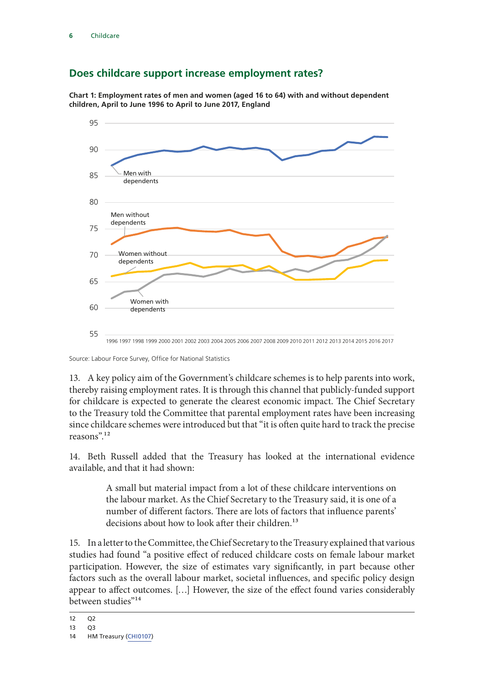#### <span id="page-7-0"></span>**Does childcare support increase employment rates?**

**Chart 1: Employment rates of men and women (aged 16 to 64) with and without dependent children, April to June 1996 to April to June 2017, England**



Source: Labour Force Survey, Office for National Statistics

13. A key policy aim of the Government's childcare schemes is to help parents into work, thereby raising employment rates. It is through this channel that publicly-funded support for childcare is expected to generate the clearest economic impact. The Chief Secretary to the Treasury told the Committee that parental employment rates have been increasing since childcare schemes were introduced but that "it is often quite hard to track the precise reasons".12

14. Beth Russell added that the Treasury has looked at the international evidence available, and that it had shown:

> A small but material impact from a lot of these childcare interventions on the labour market. As the Chief Secretary to the Treasury said, it is one of a number of different factors. There are lots of factors that influence parents' decisions about how to look after their children.<sup>13</sup>

15. In a letter to the Committee, the Chief Secretary to the Treasury explained that various studies had found "a positive effect of reduced childcare costs on female labour market participation. However, the size of estimates vary significantly, in part because other factors such as the overall labour market, societal influences, and specific policy design appear to affect outcomes. […] However, the size of the effect found varies considerably between studies"<sup>14</sup>

<sup>12</sup> Q2

<sup>13</sup> Q3

<sup>14</sup> HM Treasury [\(CHI0107](http://data.parliament.uk/writtenevidence/committeeevidence.svc/evidencedocument/treasury-committee/childcare/written/79719.html))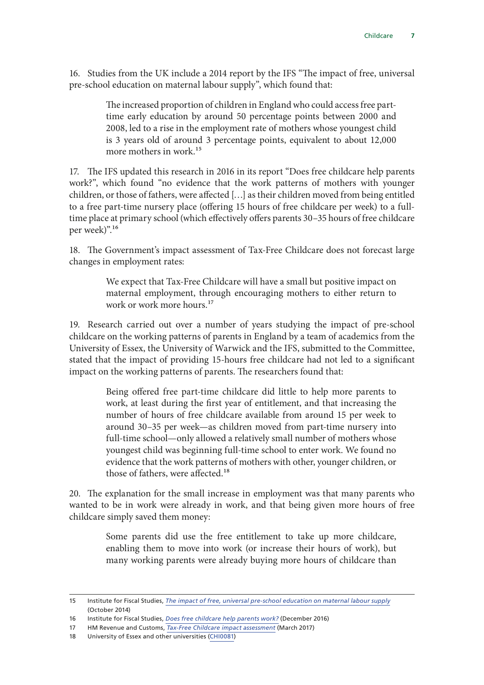16. Studies from the UK include a 2014 report by the IFS "The impact of free, universal pre-school education on maternal labour supply", which found that:

> The increased proportion of children in England who could access free parttime early education by around 50 percentage points between 2000 and 2008, led to a rise in the employment rate of mothers whose youngest child is 3 years old of around 3 percentage points, equivalent to about 12,000 more mothers in work.<sup>15</sup>

17. The IFS updated this research in 2016 in its report "Does free childcare help parents work?", which found "no evidence that the work patterns of mothers with younger children, or those of fathers, were affected […] as their children moved from being entitled to a free part-time nursery place (offering 15 hours of free childcare per week) to a fulltime place at primary school (which effectively offers parents 30–35 hours of free childcare per week)".16

18. The Government's impact assessment of Tax-Free Childcare does not forecast large changes in employment rates:

> We expect that Tax-Free Childcare will have a small but positive impact on maternal employment, through encouraging mothers to either return to work or work more hours.<sup>17</sup>

19. Research carried out over a number of years studying the impact of pre-school childcare on the working patterns of parents in England by a team of academics from the University of Essex, the University of Warwick and the IFS, submitted to the Committee, stated that the impact of providing 15-hours free childcare had not led to a significant impact on the working patterns of parents. The researchers found that:

> Being offered free part-time childcare did little to help more parents to work, at least during the first year of entitlement, and that increasing the number of hours of free childcare available from around 15 per week to around 30–35 per week—as children moved from part-time nursery into full-time school—only allowed a relatively small number of mothers whose youngest child was beginning full-time school to enter work. We found no evidence that the work patterns of mothers with other, younger children, or those of fathers, were affected.18

20. The explanation for the small increase in employment was that many parents who wanted to be in work were already in work, and that being given more hours of free childcare simply saved them money:

> Some parents did use the free entitlement to take up more childcare, enabling them to move into work (or increase their hours of work), but many working parents were already buying more hours of childcare than

<sup>15</sup> Institute for Fiscal Studies, *[The impact of free, universal pre-school education on maternal labour supply](https://www.ifs.org.uk/publications/7403)* (October 2014)

<sup>16</sup> Institute for Fiscal Studies, *[Does free childcare help parents work?](https://www.ifs.org.uk/publications/8792)* (December 2016)

<sup>17</sup> HM Revenue and Customs, *[Tax-Free Childcare impact assessment](https://www.gov.uk/government/publications/tax-free-childcare-impact-assessment-march-2017)* (March 2017)

<sup>18</sup> University of Essex and other universities [\(CHI0081\)](http://data.parliament.uk/writtenevidence/committeeevidence.svc/evidencedocument/treasury-committee/childcare/written/78177.html)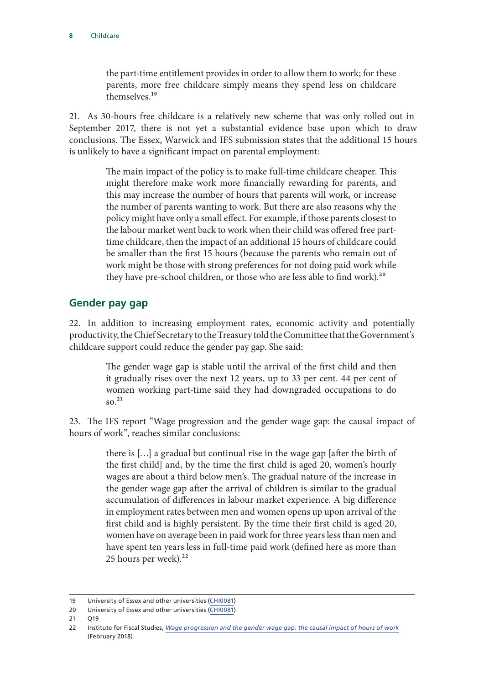<span id="page-9-0"></span>the part-time entitlement provides in order to allow them to work; for these parents, more free childcare simply means they spend less on childcare themselves<sup>19</sup>

21. As 30-hours free childcare is a relatively new scheme that was only rolled out in September 2017, there is not yet a substantial evidence base upon which to draw conclusions. The Essex, Warwick and IFS submission states that the additional 15 hours is unlikely to have a significant impact on parental employment:

> The main impact of the policy is to make full-time childcare cheaper. This might therefore make work more financially rewarding for parents, and this may increase the number of hours that parents will work, or increase the number of parents wanting to work. But there are also reasons why the policy might have only a small effect. For example, if those parents closest to the labour market went back to work when their child was offered free parttime childcare, then the impact of an additional 15 hours of childcare could be smaller than the first 15 hours (because the parents who remain out of work might be those with strong preferences for not doing paid work while they have pre-school children, or those who are less able to find work).<sup>20</sup>

#### **Gender pay gap**

22. In addition to increasing employment rates, economic activity and potentially productivity, the Chief Secretary to the Treasury told the Committee that the Government's childcare support could reduce the gender pay gap. She said:

> The gender wage gap is stable until the arrival of the first child and then it gradually rises over the next 12 years, up to 33 per cent. 44 per cent of women working part-time said they had downgraded occupations to do  $\mathrm{SO}^{21}$

23. The IFS report "Wage progression and the gender wage gap: the causal impact of hours of work", reaches similar conclusions:

> there is […] a gradual but continual rise in the wage gap [after the birth of the first child] and, by the time the first child is aged 20, women's hourly wages are about a third below men's. The gradual nature of the increase in the gender wage gap after the arrival of children is similar to the gradual accumulation of differences in labour market experience. A big difference in employment rates between men and women opens up upon arrival of the first child and is highly persistent. By the time their first child is aged 20, women have on average been in paid work for three years less than men and have spent ten years less in full-time paid work (defined here as more than 25 hours per week).<sup>22</sup>

21 O19

<sup>19</sup> University of Essex and other universities [\(CHI0081\)](http://data.parliament.uk/writtenevidence/committeeevidence.svc/evidencedocument/treasury-committee/childcare/written/78177.html)

<sup>20</sup> University of Essex and other universities [\(CHI0081\)](http://data.parliament.uk/writtenevidence/committeeevidence.svc/evidencedocument/treasury-committee/childcare/written/78177.html)

<sup>22</sup> Institute for Fiscal Studies, *[Wage progression and the gender wage gap: the causal impact of hours of work](https://www.ifs.org.uk/publications/10358)* (February 2018)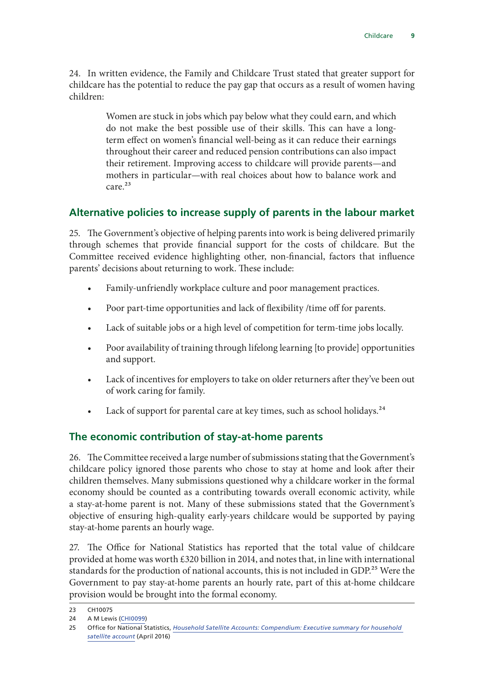<span id="page-10-0"></span>24. In written evidence, the Family and Childcare Trust stated that greater support for childcare has the potential to reduce the pay gap that occurs as a result of women having children:

> Women are stuck in jobs which pay below what they could earn, and which do not make the best possible use of their skills. This can have a longterm effect on women's financial well-being as it can reduce their earnings throughout their career and reduced pension contributions can also impact their retirement. Improving access to childcare will provide parents—and mothers in particular—with real choices about how to balance work and care.23

#### **Alternative policies to increase supply of parents in the labour market**

25. The Government's objective of helping parents into work is being delivered primarily through schemes that provide financial support for the costs of childcare. But the Committee received evidence highlighting other, non-financial, factors that influence parents' decisions about returning to work. These include:

- Family-unfriendly workplace culture and poor management practices.
- Poor part-time opportunities and lack of flexibility /time off for parents.
- Lack of suitable jobs or a high level of competition for term-time jobs locally.
- Poor availability of training through lifelong learning [to provide] opportunities and support.
- Lack of incentives for employers to take on older returners after they've been out of work caring for family.
- Lack of support for parental care at key times, such as school holidays.<sup>24</sup>

#### **The economic contribution of stay-at-home parents**

26. The Committee received a large number of submissions stating that the Government's childcare policy ignored those parents who chose to stay at home and look after their children themselves. Many submissions questioned why a childcare worker in the formal economy should be counted as a contributing towards overall economic activity, while a stay-at-home parent is not. Many of these submissions stated that the Government's objective of ensuring high-quality early-years childcare would be supported by paying stay-at-home parents an hourly wage.

27. The Office for National Statistics has reported that the total value of childcare provided at home was worth £320 billion in 2014, and notes that, in line with international standards for the production of national accounts, this is not included in GDP.<sup>25</sup> Were the Government to pay stay-at-home parents an hourly rate, part of this at-home childcare provision would be brought into the formal economy.

<sup>23</sup> CH10075

<sup>24</sup> A M Lewis ([CHI0099\)](http://data.parliament.uk/writtenevidence/committeeevidence.svc/evidencedocument/treasury-committee/childcare/written/78209.html)

<sup>25</sup> Office for National Statistics, *[Household Satellite Accounts: Compendium: Executive summary for household](https://www.ons.gov.uk/economy/nationalaccounts/satelliteaccounts/compendium/householdsatelliteaccounts/2005to2014/chapter1executivesummaryforhouseholdsatelliteaccount)  [satellite account](https://www.ons.gov.uk/economy/nationalaccounts/satelliteaccounts/compendium/householdsatelliteaccounts/2005to2014/chapter1executivesummaryforhouseholdsatelliteaccount)* (April 2016)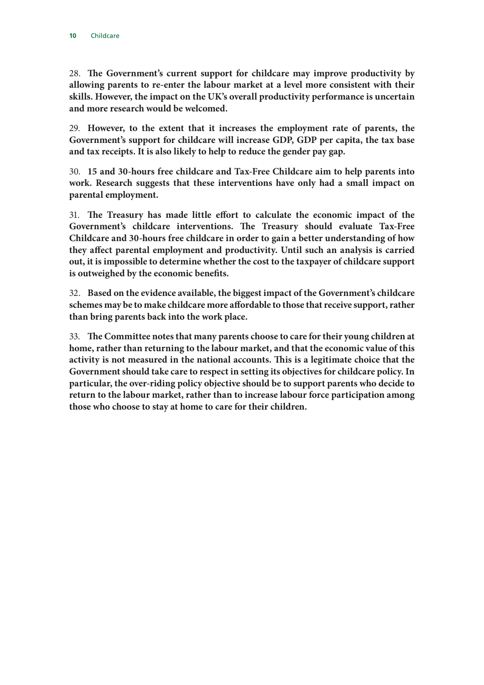28. **The Government's current support for childcare may improve productivity by allowing parents to re-enter the labour market at a level more consistent with their skills. However, the impact on the UK's overall productivity performance is uncertain and more research would be welcomed.**

29. **However, to the extent that it increases the employment rate of parents, the Government's support for childcare will increase GDP, GDP per capita, the tax base and tax receipts. It is also likely to help to reduce the gender pay gap.**

30. **15 and 30-hours free childcare and Tax-Free Childcare aim to help parents into work. Research suggests that these interventions have only had a small impact on parental employment.**

31. **The Treasury has made little effort to calculate the economic impact of the Government's childcare interventions. The Treasury should evaluate Tax-Free Childcare and 30-hours free childcare in order to gain a better understanding of how they affect parental employment and productivity. Until such an analysis is carried out, it is impossible to determine whether the cost to the taxpayer of childcare support is outweighed by the economic benefits.**

32. **Based on the evidence available, the biggest impact of the Government's childcare schemes may be to make childcare more affordable to those that receive support, rather than bring parents back into the work place.**

33. **The Committee notes that many parents choose to care for their young children at home, rather than returning to the labour market, and that the economic value of this activity is not measured in the national accounts. This is a legitimate choice that the Government should take care to respect in setting its objectives for childcare policy. In particular, the over-riding policy objective should be to support parents who decide to return to the labour market, rather than to increase labour force participation among those who choose to stay at home to care for their children.**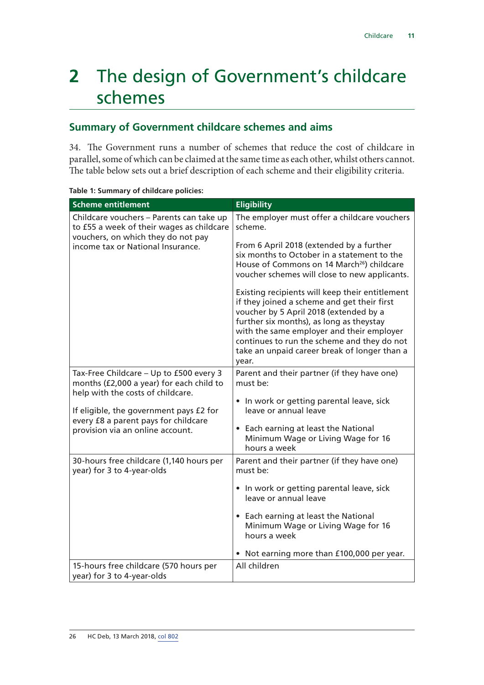### <span id="page-12-0"></span>**2** The design of Government's childcare schemes

#### **Summary of Government childcare schemes and aims**

34. The Government runs a number of schemes that reduce the cost of childcare in parallel, some of which can be claimed at the same time as each other, whilst others cannot. The table below sets out a brief description of each scheme and their eligibility criteria.

| <b>Scheme entitlement</b>                                                                                                   | <b>Eligibility</b>                                                                                                                                                                                                                                                                                                                        |
|-----------------------------------------------------------------------------------------------------------------------------|-------------------------------------------------------------------------------------------------------------------------------------------------------------------------------------------------------------------------------------------------------------------------------------------------------------------------------------------|
| Childcare vouchers - Parents can take up<br>to £55 a week of their wages as childcare<br>vouchers, on which they do not pay | The employer must offer a childcare vouchers<br>scheme.                                                                                                                                                                                                                                                                                   |
| income tax or National Insurance.                                                                                           | From 6 April 2018 (extended by a further<br>six months to October in a statement to the<br>House of Commons on 14 March <sup>26</sup> ) childcare<br>voucher schemes will close to new applicants.                                                                                                                                        |
|                                                                                                                             | Existing recipients will keep their entitlement<br>if they joined a scheme and get their first<br>voucher by 5 April 2018 (extended by a<br>further six months), as long as theystay<br>with the same employer and their employer<br>continues to run the scheme and they do not<br>take an unpaid career break of longer than a<br>year. |
| Tax-Free Childcare - Up to £500 every 3<br>months (£2,000 a year) for each child to<br>help with the costs of childcare.    | Parent and their partner (if they have one)<br>must be:                                                                                                                                                                                                                                                                                   |
| If eligible, the government pays £2 for                                                                                     | • In work or getting parental leave, sick<br>leave or annual leave                                                                                                                                                                                                                                                                        |
| every £8 a parent pays for childcare<br>provision via an online account.                                                    | • Each earning at least the National<br>Minimum Wage or Living Wage for 16<br>hours a week                                                                                                                                                                                                                                                |
| 30-hours free childcare (1,140 hours per<br>year) for 3 to 4-year-olds                                                      | Parent and their partner (if they have one)<br>must be:                                                                                                                                                                                                                                                                                   |
|                                                                                                                             | • In work or getting parental leave, sick<br>leave or annual leave                                                                                                                                                                                                                                                                        |
|                                                                                                                             | • Each earning at least the National<br>Minimum Wage or Living Wage for 16<br>hours a week                                                                                                                                                                                                                                                |
|                                                                                                                             | Not earning more than £100,000 per year.                                                                                                                                                                                                                                                                                                  |
| 15-hours free childcare (570 hours per<br>year) for 3 to 4-year-olds                                                        | All children                                                                                                                                                                                                                                                                                                                              |

**Table 1: Summary of childcare policies:**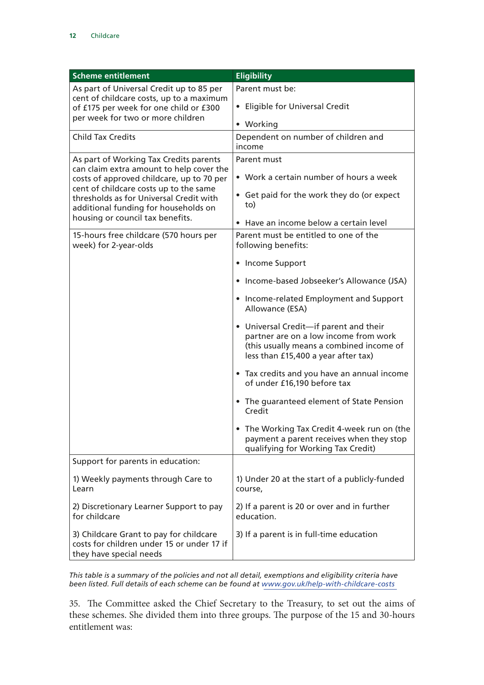| <b>Scheme entitlement</b>                                                                                                 | <b>Eligibility</b>                                                                                                                                                            |
|---------------------------------------------------------------------------------------------------------------------------|-------------------------------------------------------------------------------------------------------------------------------------------------------------------------------|
| As part of Universal Credit up to 85 per                                                                                  | Parent must be:                                                                                                                                                               |
| cent of childcare costs, up to a maximum<br>of £175 per week for one child or £300                                        | • Eligible for Universal Credit                                                                                                                                               |
| per week for two or more children                                                                                         | • Working                                                                                                                                                                     |
| <b>Child Tax Credits</b>                                                                                                  | Dependent on number of children and<br>income                                                                                                                                 |
| As part of Working Tax Credits parents                                                                                    | Parent must                                                                                                                                                                   |
| can claim extra amount to help cover the<br>costs of approved childcare, up to 70 per                                     | • Work a certain number of hours a week                                                                                                                                       |
| cent of childcare costs up to the same<br>thresholds as for Universal Credit with<br>additional funding for households on | • Get paid for the work they do (or expect<br>to)                                                                                                                             |
| housing or council tax benefits.                                                                                          | Have an income below a certain level                                                                                                                                          |
| 15-hours free childcare (570 hours per<br>week) for 2-year-olds                                                           | Parent must be entitled to one of the<br>following benefits:                                                                                                                  |
|                                                                                                                           | • Income Support                                                                                                                                                              |
|                                                                                                                           | • Income-based Jobseeker's Allowance (JSA)                                                                                                                                    |
|                                                                                                                           | • Income-related Employment and Support<br>Allowance (ESA)                                                                                                                    |
|                                                                                                                           | Universal Credit-if parent and their<br>$\bullet$<br>partner are on a low income from work<br>(this usually means a combined income of<br>less than £15,400 a year after tax) |
|                                                                                                                           | • Tax credits and you have an annual income<br>of under £16,190 before tax                                                                                                    |
|                                                                                                                           | • The quaranteed element of State Pension<br>Credit                                                                                                                           |
|                                                                                                                           | The Working Tax Credit 4-week run on (the<br>payment a parent receives when they stop<br>qualifying for Working Tax Credit)                                                   |
| Support for parents in education:                                                                                         |                                                                                                                                                                               |
| 1) Weekly payments through Care to<br>Learn                                                                               | 1) Under 20 at the start of a publicly-funded<br>course,                                                                                                                      |
| 2) Discretionary Learner Support to pay<br>for childcare                                                                  | 2) If a parent is 20 or over and in further<br>education.                                                                                                                     |
| 3) Childcare Grant to pay for childcare<br>costs for children under 15 or under 17 if<br>they have special needs          | 3) If a parent is in full-time education                                                                                                                                      |

*This table is a summary of the policies and not all detail, exemptions and eligibility criteria have been listed. Full details of each scheme can be found at [www.gov.uk/help-with-childcare-costs](http://www.gov.uk/help-with-childcare-costs)*

35. The Committee asked the Chief Secretary to the Treasury, to set out the aims of these schemes. She divided them into three groups. The purpose of the 15 and 30-hours entitlement was: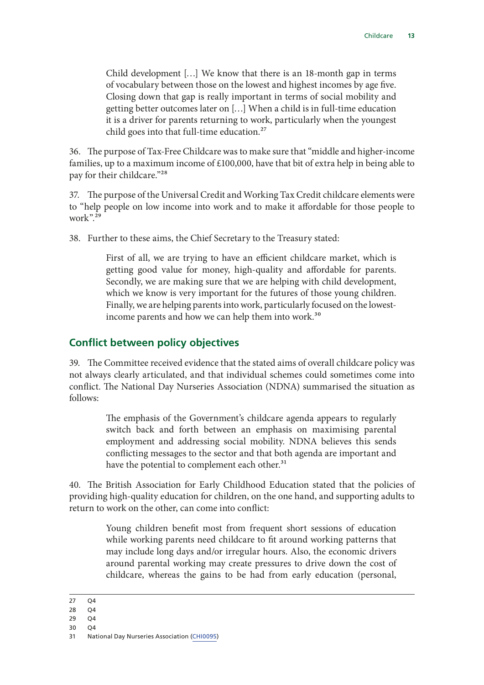<span id="page-14-0"></span>Child development […] We know that there is an 18-month gap in terms of vocabulary between those on the lowest and highest incomes by age five. Closing down that gap is really important in terms of social mobility and getting better outcomes later on […] When a child is in full-time education it is a driver for parents returning to work, particularly when the youngest child goes into that full-time education.<sup>27</sup>

36. The purpose of Tax-Free Childcare was to make sure that "middle and higher-income families, up to a maximum income of £100,000, have that bit of extra help in being able to pay for their childcare."28

37. The purpose of the Universal Credit and Working Tax Credit childcare elements were to "help people on low income into work and to make it affordable for those people to work".29

38. Further to these aims, the Chief Secretary to the Treasury stated:

First of all, we are trying to have an efficient childcare market, which is getting good value for money, high-quality and affordable for parents. Secondly, we are making sure that we are helping with child development, which we know is very important for the futures of those young children. Finally, we are helping parents into work, particularly focused on the lowestincome parents and how we can help them into work.<sup>30</sup>

#### **Conflict between policy objectives**

39. The Committee received evidence that the stated aims of overall childcare policy was not always clearly articulated, and that individual schemes could sometimes come into conflict. The National Day Nurseries Association (NDNA) summarised the situation as follows:

> The emphasis of the Government's childcare agenda appears to regularly switch back and forth between an emphasis on maximising parental employment and addressing social mobility. NDNA believes this sends conflicting messages to the sector and that both agenda are important and have the potential to complement each other.<sup>31</sup>

40. The British Association for Early Childhood Education stated that the policies of providing high-quality education for children, on the one hand, and supporting adults to return to work on the other, can come into conflict:

> Young children benefit most from frequent short sessions of education while working parents need childcare to fit around working patterns that may include long days and/or irregular hours. Also, the economic drivers around parental working may create pressures to drive down the cost of childcare, whereas the gains to be had from early education (personal,

- 28 Q4
- 29 Q4
- 30 Q4
- 31 National Day Nurseries Association ([CHI0095\)](http://data.parliament.uk/writtenevidence/committeeevidence.svc/evidencedocument/treasury-committee/childcare/written/78203.html)

<sup>27</sup> Q4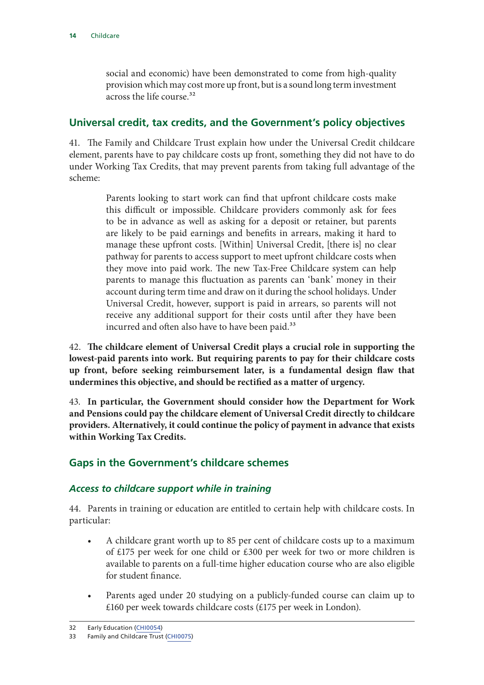<span id="page-15-0"></span>social and economic) have been demonstrated to come from high-quality provision which may cost more up front, but is a sound long term investment across the life course<sup>32</sup>

#### **Universal credit, tax credits, and the Government's policy objectives**

41. The Family and Childcare Trust explain how under the Universal Credit childcare element, parents have to pay childcare costs up front, something they did not have to do under Working Tax Credits, that may prevent parents from taking full advantage of the scheme:

> Parents looking to start work can find that upfront childcare costs make this difficult or impossible. Childcare providers commonly ask for fees to be in advance as well as asking for a deposit or retainer, but parents are likely to be paid earnings and benefits in arrears, making it hard to manage these upfront costs. [Within] Universal Credit, [there is] no clear pathway for parents to access support to meet upfront childcare costs when they move into paid work. The new Tax-Free Childcare system can help parents to manage this fluctuation as parents can 'bank' money in their account during term time and draw on it during the school holidays. Under Universal Credit, however, support is paid in arrears, so parents will not receive any additional support for their costs until after they have been incurred and often also have to have been paid.<sup>33</sup>

42. **The childcare element of Universal Credit plays a crucial role in supporting the lowest-paid parents into work. But requiring parents to pay for their childcare costs up front, before seeking reimbursement later, is a fundamental design flaw that undermines this objective, and should be rectified as a matter of urgency.**

43. **In particular, the Government should consider how the Department for Work and Pensions could pay the childcare element of Universal Credit directly to childcare providers. Alternatively, it could continue the policy of payment in advance that exists within Working Tax Credits.**

#### **Gaps in the Government's childcare schemes**

#### *Access to childcare support while in training*

44. Parents in training or education are entitled to certain help with childcare costs. In particular:

- A childcare grant worth up to 85 per cent of childcare costs up to a maximum of £175 per week for one child or £300 per week for two or more children is available to parents on a full-time higher education course who are also eligible for student finance.
- Parents aged under 20 studying on a publicly-funded course can claim up to £160 per week towards childcare costs (£175 per week in London).

<sup>32</sup> Early Education ([CHI0054\)](http://data.parliament.uk/writtenevidence/committeeevidence.svc/evidencedocument/treasury-committee/childcare/written/78086.html)

<sup>33</sup> Family and Childcare Trust ([CHI0075](http://data.parliament.uk/writtenevidence/committeeevidence.svc/evidencedocument/treasury-committee/childcare/written/78146.html))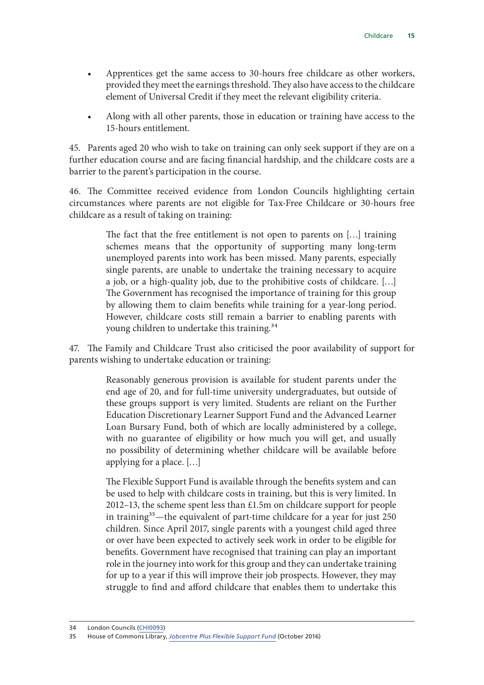- Apprentices get the same access to 30-hours free childcare as other workers, provided they meet the earnings threshold. They also have access to the childcare element of Universal Credit if they meet the relevant eligibility criteria.
- Along with all other parents, those in education or training have access to the 15-hours entitlement.

45. Parents aged 20 who wish to take on training can only seek support if they are on a further education course and are facing financial hardship, and the childcare costs are a barrier to the parent's participation in the course.

46. The Committee received evidence from London Councils highlighting certain circumstances where parents are not eligible for Tax-Free Childcare or 30-hours free childcare as a result of taking on training:

> The fact that the free entitlement is not open to parents on […] training schemes means that the opportunity of supporting many long-term unemployed parents into work has been missed. Many parents, especially single parents, are unable to undertake the training necessary to acquire a job, or a high-quality job, due to the prohibitive costs of childcare. […] The Government has recognised the importance of training for this group by allowing them to claim benefits while training for a year-long period. However, childcare costs still remain a barrier to enabling parents with young children to undertake this training.<sup>34</sup>

47. The Family and Childcare Trust also criticised the poor availability of support for parents wishing to undertake education or training:

> Reasonably generous provision is available for student parents under the end age of 20, and for full-time university undergraduates, but outside of these groups support is very limited. Students are reliant on the Further Education Discretionary Learner Support Fund and the Advanced Learner Loan Bursary Fund, both of which are locally administered by a college, with no guarantee of eligibility or how much you will get, and usually no possibility of determining whether childcare will be available before applying for a place. […]

> The Flexible Support Fund is available through the benefits system and can be used to help with childcare costs in training, but this is very limited. In 2012–13, the scheme spent less than £1.5m on childcare support for people in training<sup>35</sup>—the equivalent of part-time childcare for a year for just 250 children. Since April 2017, single parents with a youngest child aged three or over have been expected to actively seek work in order to be eligible for benefits. Government have recognised that training can play an important role in the journey into work for this group and they can undertake training for up to a year if this will improve their job prospects. However, they may struggle to find and afford childcare that enables them to undertake this

<sup>34</sup> London Councils [\(CHI0093\)](http://data.parliament.uk/writtenevidence/committeeevidence.svc/evidencedocument/treasury-committee/childcare/written/78200.html)

<sup>35</sup> House of Commons Library, *[Jobcentre Plus Flexible Support Fund](http://researchbriefings.files.parliament.uk/documents/SN06079/SN06079.pdf)* (October 2016)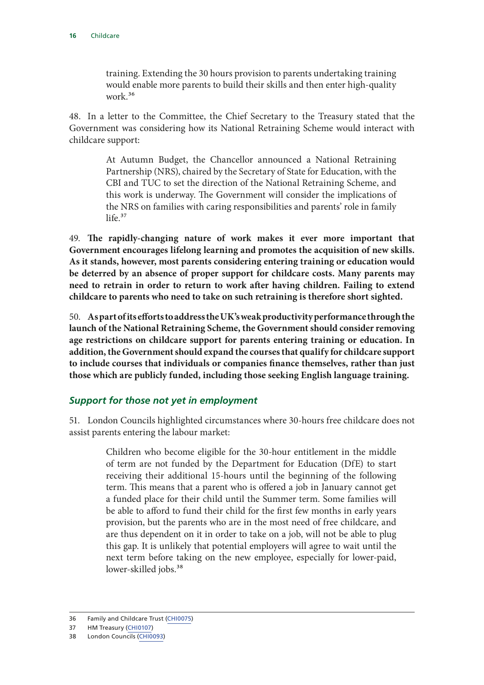<span id="page-17-0"></span>training. Extending the 30 hours provision to parents undertaking training would enable more parents to build their skills and then enter high-quality work.36

48. In a letter to the Committee, the Chief Secretary to the Treasury stated that the Government was considering how its National Retraining Scheme would interact with childcare support:

> At Autumn Budget, the Chancellor announced a National Retraining Partnership (NRS), chaired by the Secretary of State for Education, with the CBI and TUC to set the direction of the National Retraining Scheme, and this work is underway. The Government will consider the implications of the NRS on families with caring responsibilities and parents' role in family  $life.<sup>37</sup>$

49. **The rapidly-changing nature of work makes it ever more important that Government encourages lifelong learning and promotes the acquisition of new skills. As it stands, however, most parents considering entering training or education would be deterred by an absence of proper support for childcare costs. Many parents may need to retrain in order to return to work after having children. Failing to extend childcare to parents who need to take on such retraining is therefore short sighted.**

50. **As part of its efforts to address the UK's weak productivity performance through the launch of the National Retraining Scheme, the Government should consider removing age restrictions on childcare support for parents entering training or education. In addition, the Government should expand the courses that qualify for childcare support to include courses that individuals or companies finance themselves, rather than just those which are publicly funded, including those seeking English language training.**

#### *Support for those not yet in employment*

51. London Councils highlighted circumstances where 30-hours free childcare does not assist parents entering the labour market:

> Children who become eligible for the 30-hour entitlement in the middle of term are not funded by the Department for Education (DfE) to start receiving their additional 15-hours until the beginning of the following term. This means that a parent who is offered a job in January cannot get a funded place for their child until the Summer term. Some families will be able to afford to fund their child for the first few months in early years provision, but the parents who are in the most need of free childcare, and are thus dependent on it in order to take on a job, will not be able to plug this gap. It is unlikely that potential employers will agree to wait until the next term before taking on the new employee, especially for lower-paid, lower-skilled jobs.<sup>38</sup>

<sup>36</sup> Family and Childcare Trust ([CHI0075](http://data.parliament.uk/writtenevidence/committeeevidence.svc/evidencedocument/treasury-committee/childcare/written/78146.html))

<sup>37</sup> HM Treasury [\(CHI0107](http://data.parliament.uk/writtenevidence/committeeevidence.svc/evidencedocument/treasury-committee/childcare/written/79719.html))

<sup>38</sup> London Councils [\(CHI0093\)](http://data.parliament.uk/writtenevidence/committeeevidence.svc/evidencedocument/treasury-committee/childcare/written/78200.html)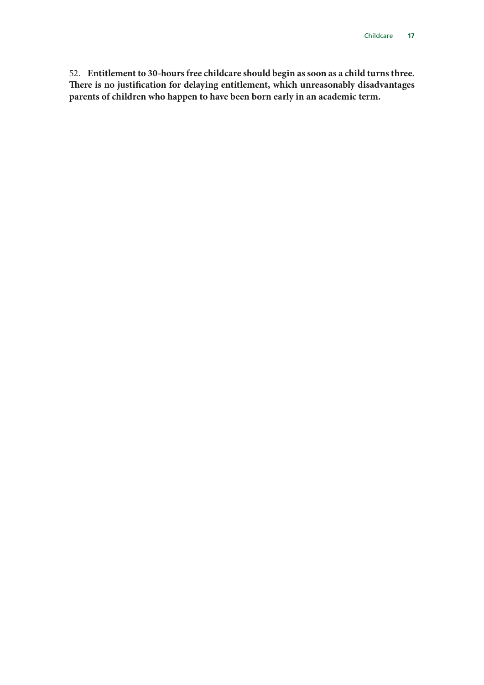52. **Entitlement to 30-hours free childcare should begin as soon as a child turns three. There is no justification for delaying entitlement, which unreasonably disadvantages parents of children who happen to have been born early in an academic term.**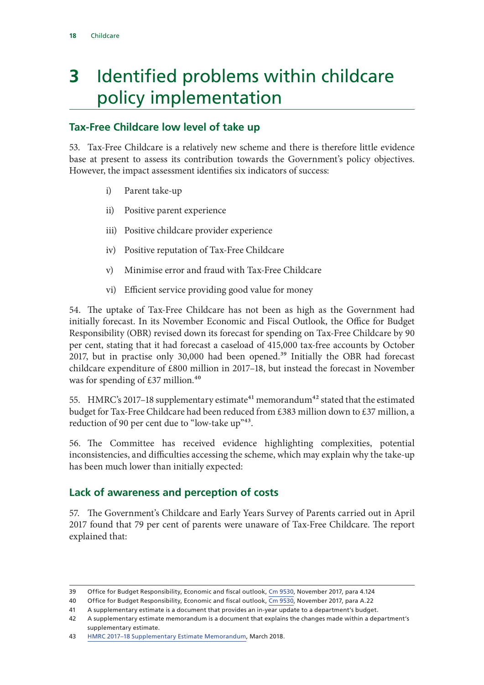### <span id="page-19-0"></span>**3** Identified problems within childcare policy implementation

#### **Tax-Free Childcare low level of take up**

53. Tax-Free Childcare is a relatively new scheme and there is therefore little evidence base at present to assess its contribution towards the Government's policy objectives. However, the impact assessment identifies six indicators of success:

- i) Parent take-up
- ii) Positive parent experience
- iii) Positive childcare provider experience
- iv) Positive reputation of Tax-Free Childcare
- v) Minimise error and fraud with Tax-Free Childcare
- vi) Efficient service providing good value for money

54. The uptake of Tax-Free Childcare has not been as high as the Government had initially forecast. In its November Economic and Fiscal Outlook, the Office for Budget Responsibility (OBR) revised down its forecast for spending on Tax-Free Childcare by 90 per cent, stating that it had forecast a caseload of 415,000 tax-free accounts by October 2017, but in practise only 30,000 had been opened.<sup>39</sup> Initially the OBR had forecast childcare expenditure of £800 million in 2017–18, but instead the forecast in November was for spending of  $£37$  million.<sup>40</sup>

55. HMRC's 2017–18 supplementary estimate<sup>41</sup> memorandum<sup>42</sup> stated that the estimated budget for Tax-Free Childcare had been reduced from £383 million down to £37 million, a reduction of 90 per cent due to "low-take up"<sup>43</sup>.

56. The Committee has received evidence highlighting complexities, potential inconsistencies, and difficulties accessing the scheme, which may explain why the take-up has been much lower than initially expected:

#### **Lack of awareness and perception of costs**

57. The Government's Childcare and Early Years Survey of Parents carried out in April 2017 found that 79 per cent of parents were unaware of Tax-Free Childcare. The report explained that:

<sup>39</sup> Office for Budget Responsibility, Economic and fiscal outlook, [Cm 9530](http://cdn.obr.uk/Nov2017EFOwebversion-2.pdf), November 2017, para 4.124

<sup>40</sup> Office for Budget Responsibility, Economic and fiscal outlook, [Cm 9530](http://cdn.obr.uk/Nov2017EFOwebversion-2.pdf), November 2017, para A.22

<sup>41</sup> A supplementary estimate is a document that provides an in-year update to a department's budget.

<sup>42</sup> A supplementary estimate memorandum is a document that explains the changes made within a department's supplementary estimate.

<sup>43</sup> [HMRC 2017–18 Supplementary Estimate Memorandum,](http://www.parliament.uk/documents/commons-committees/treasury/Memorandum-HMRC-Supplementary-Estimate.pdf
) March 2018.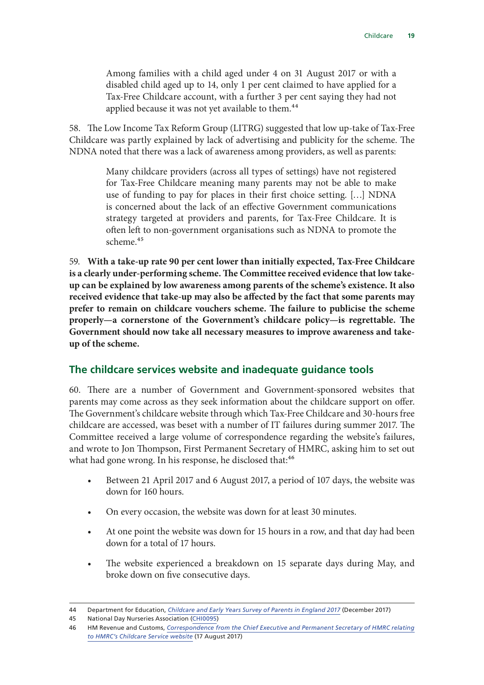<span id="page-20-0"></span>Among families with a child aged under 4 on 31 August 2017 or with a disabled child aged up to 14, only 1 per cent claimed to have applied for a Tax-Free Childcare account, with a further 3 per cent saying they had not applied because it was not yet available to them.<sup>44</sup>

58. The Low Income Tax Reform Group (LITRG) suggested that low up-take of Tax-Free Childcare was partly explained by lack of advertising and publicity for the scheme. The NDNA noted that there was a lack of awareness among providers, as well as parents:

> Many childcare providers (across all types of settings) have not registered for Tax-Free Childcare meaning many parents may not be able to make use of funding to pay for places in their first choice setting. […] NDNA is concerned about the lack of an effective Government communications strategy targeted at providers and parents, for Tax-Free Childcare. It is often left to non-government organisations such as NDNA to promote the scheme.<sup>45</sup>

59. **With a take-up rate 90 per cent lower than initially expected, Tax-Free Childcare is a clearly under-performing scheme. The Committee received evidence that low takeup can be explained by low awareness among parents of the scheme's existence. It also received evidence that take-up may also be affected by the fact that some parents may prefer to remain on childcare vouchers scheme. The failure to publicise the scheme properly—a cornerstone of the Government's childcare policy—is regrettable. The Government should now take all necessary measures to improve awareness and takeup of the scheme.**

#### **The childcare services website and inadequate guidance tools**

60. There are a number of Government and Government-sponsored websites that parents may come across as they seek information about the childcare support on offer. The Government's childcare website through which Tax-Free Childcare and 30-hours free childcare are accessed, was beset with a number of IT failures during summer 2017. The Committee received a large volume of correspondence regarding the website's failures, and wrote to Jon Thompson, First Permanent Secretary of HMRC, asking him to set out what had gone wrong. In his response, he disclosed that:<sup>46</sup>

- Between 21 April 2017 and 6 August 2017, a period of 107 days, the website was down for 160 hours.
- On every occasion, the website was down for at least 30 minutes.
- At one point the website was down for 15 hours in a row, and that day had been down for a total of 17 hours.
- The website experienced a breakdown on 15 separate days during May, and broke down on five consecutive days.

<sup>44</sup> Department for Education, *[Childcare and Early Years Survey of Parents in England 2017](https://www.gov.uk/government/uploads/system/uploads/attachment_data/file/669857/SFR73_2017_Text.pdf)* (December 2017)

<sup>45</sup> National Day Nurseries Association ([CHI0095\)](http://data.parliament.uk/writtenevidence/committeeevidence.svc/evidencedocument/treasury-committee/childcare/written/78203.html)

<sup>46</sup> HM Revenue and Customs, *[Correspondence from the Chief Executive and Permanent Secretary of HMRC relating](http://www.parliament.uk/documents/commons-committees/treasury/Jon-Thompson-HMRC-to-Chair-re-childcare-service-website.pdf)  [to HMRC's Childcare Service website](http://www.parliament.uk/documents/commons-committees/treasury/Jon-Thompson-HMRC-to-Chair-re-childcare-service-website.pdf)* (17 August 2017)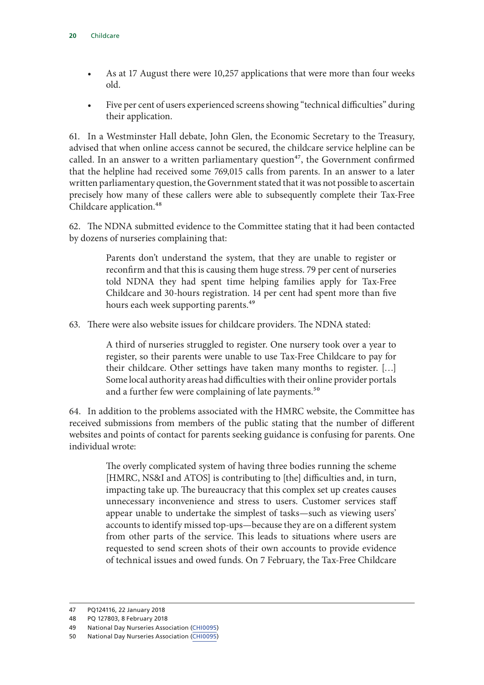- As at 17 August there were 10,257 applications that were more than four weeks old.
- Five per cent of users experienced screens showing "technical difficulties" during their application.

61. In a Westminster Hall debate, John Glen, the Economic Secretary to the Treasury, advised that when online access cannot be secured, the childcare service helpline can be called. In an answer to a written parliamentary question<sup>47</sup>, the Government confirmed that the helpline had received some 769,015 calls from parents. In an answer to a later written parliamentary question, the Government stated that it was not possible to ascertain precisely how many of these callers were able to subsequently complete their Tax-Free Childcare application.<sup>48</sup>

62. The NDNA submitted evidence to the Committee stating that it had been contacted by dozens of nurseries complaining that:

> Parents don't understand the system, that they are unable to register or reconfirm and that this is causing them huge stress. 79 per cent of nurseries told NDNA they had spent time helping families apply for Tax-Free Childcare and 30-hours registration. 14 per cent had spent more than five hours each week supporting parents.<sup>49</sup>

63. There were also website issues for childcare providers. The NDNA stated:

A third of nurseries struggled to register. One nursery took over a year to register, so their parents were unable to use Tax-Free Childcare to pay for their childcare. Other settings have taken many months to register. […] Some local authority areas had difficulties with their online provider portals and a further few were complaining of late payments.<sup>50</sup>

64. In addition to the problems associated with the HMRC website, the Committee has received submissions from members of the public stating that the number of different websites and points of contact for parents seeking guidance is confusing for parents. One individual wrote:

> The overly complicated system of having three bodies running the scheme [HMRC, NS&I and ATOS] is contributing to [the] difficulties and, in turn, impacting take up. The bureaucracy that this complex set up creates causes unnecessary inconvenience and stress to users. Customer services staff appear unable to undertake the simplest of tasks—such as viewing users' accounts to identify missed top-ups—because they are on a different system from other parts of the service. This leads to situations where users are requested to send screen shots of their own accounts to provide evidence of technical issues and owed funds. On 7 February, the Tax-Free Childcare

<sup>47</sup> PQ124116, 22 January 2018

<sup>48</sup> PQ 127803, 8 February 2018

<sup>49</sup> National Day Nurseries Association ([CHI0095\)](http://data.parliament.uk/writtenevidence/committeeevidence.svc/evidencedocument/treasury-committee/childcare/written/78203.html)

<sup>50</sup> National Day Nurseries Association ([CHI0095\)](http://data.parliament.uk/writtenevidence/committeeevidence.svc/evidencedocument/treasury-committee/childcare/written/78203.html)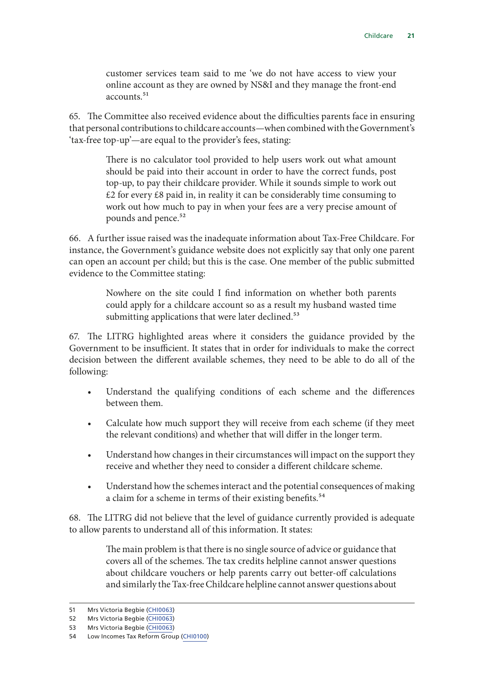customer services team said to me 'we do not have access to view your online account as they are owned by NS&I and they manage the front-end  $accounts$ <sup>51</sup>

65. The Committee also received evidence about the difficulties parents face in ensuring that personal contributions to childcare accounts—when combined with the Government's 'tax-free top-up'—are equal to the provider's fees, stating:

> There is no calculator tool provided to help users work out what amount should be paid into their account in order to have the correct funds, post top-up, to pay their childcare provider. While it sounds simple to work out  $\text{\pounds}2$  for every  $\text{\pounds}8$  paid in, in reality it can be considerably time consuming to work out how much to pay in when your fees are a very precise amount of pounds and pence.<sup>52</sup>

66. A further issue raised was the inadequate information about Tax-Free Childcare. For instance, the Government's guidance website does not explicitly say that only one parent can open an account per child; but this is the case. One member of the public submitted evidence to the Committee stating:

> Nowhere on the site could I find information on whether both parents could apply for a childcare account so as a result my husband wasted time submitting applications that were later declined.<sup>53</sup>

67. The LITRG highlighted areas where it considers the guidance provided by the Government to be insufficient. It states that in order for individuals to make the correct decision between the different available schemes, they need to be able to do all of the following:

- Understand the qualifying conditions of each scheme and the differences between them.
- Calculate how much support they will receive from each scheme (if they meet the relevant conditions) and whether that will differ in the longer term.
- Understand how changes in their circumstances will impact on the support they receive and whether they need to consider a different childcare scheme.
- Understand how the schemes interact and the potential consequences of making a claim for a scheme in terms of their existing benefits.<sup>54</sup>

68. The LITRG did not believe that the level of guidance currently provided is adequate to allow parents to understand all of this information. It states:

> The main problem is that there is no single source of advice or guidance that covers all of the schemes. The tax credits helpline cannot answer questions about childcare vouchers or help parents carry out better-off calculations and similarly the Tax-free Childcare helpline cannot answer questions about

<sup>51</sup> Mrs Victoria Begbie [\(CHI0063](http://data.parliament.uk/writtenevidence/committeeevidence.svc/evidencedocument/treasury-committee/childcare/written/78114.html))

<sup>52</sup> Mrs Victoria Begbie [\(CHI0063](http://data.parliament.uk/writtenevidence/committeeevidence.svc/evidencedocument/treasury-committee/childcare/written/78114.html))

<sup>53</sup> Mrs Victoria Begbie [\(CHI0063](http://data.parliament.uk/writtenevidence/committeeevidence.svc/evidencedocument/treasury-committee/childcare/written/78114.html))

<sup>54</sup> Low Incomes Tax Reform Group [\(CHI0100\)](http://data.parliament.uk/writtenevidence/committeeevidence.svc/evidencedocument/treasury-committee/childcare/written/78215.html)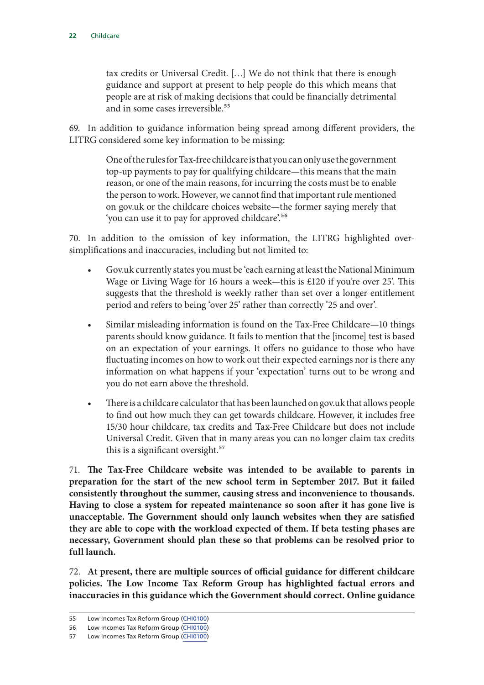tax credits or Universal Credit. […] We do not think that there is enough guidance and support at present to help people do this which means that people are at risk of making decisions that could be financially detrimental and in some cases irreversible.<sup>55</sup>

69. In addition to guidance information being spread among different providers, the LITRG considered some key information to be missing:

> One of the rules for Tax-free childcare is that you can only use the government top-up payments to pay for qualifying childcare—this means that the main reason, or one of the main reasons, for incurring the costs must be to enable the person to work. However, we cannot find that important rule mentioned on gov.uk or the childcare choices website—the former saying merely that 'you can use it to pay for approved childcare'.56

70. In addition to the omission of key information, the LITRG highlighted oversimplifications and inaccuracies, including but not limited to:

- Gov.uk currently states you must be 'each earning at least the National Minimum Wage or Living Wage for 16 hours a week—this is £120 if you're over 25'. This suggests that the threshold is weekly rather than set over a longer entitlement period and refers to being 'over 25' rather than correctly '25 and over'.
- Similar misleading information is found on the Tax-Free Childcare—10 things parents should know guidance. It fails to mention that the [income] test is based on an expectation of your earnings. It offers no guidance to those who have fluctuating incomes on how to work out their expected earnings nor is there any information on what happens if your 'expectation' turns out to be wrong and you do not earn above the threshold.
- There is a childcare calculator that has been launched on gov.uk that allows people to find out how much they can get towards childcare. However, it includes free 15/30 hour childcare, tax credits and Tax-Free Childcare but does not include Universal Credit. Given that in many areas you can no longer claim tax credits this is a significant oversight.<sup>57</sup>

71. **The Tax-Free Childcare website was intended to be available to parents in preparation for the start of the new school term in September 2017. But it failed consistently throughout the summer, causing stress and inconvenience to thousands. Having to close a system for repeated maintenance so soon after it has gone live is unacceptable. The Government should only launch websites when they are satisfied they are able to cope with the workload expected of them. If beta testing phases are necessary, Government should plan these so that problems can be resolved prior to full launch.**

72. **At present, there are multiple sources of official guidance for different childcare policies. The Low Income Tax Reform Group has highlighted factual errors and inaccuracies in this guidance which the Government should correct. Online guidance** 

<sup>55</sup> Low Incomes Tax Reform Group [\(CHI0100\)](http://data.parliament.uk/writtenevidence/committeeevidence.svc/evidencedocument/treasury-committee/childcare/written/78215.html)

<sup>56</sup> Low Incomes Tax Reform Group [\(CHI0100\)](http://data.parliament.uk/writtenevidence/committeeevidence.svc/evidencedocument/treasury-committee/childcare/written/78215.html)

<sup>57</sup> Low Incomes Tax Reform Group [\(CHI0100\)](http://data.parliament.uk/writtenevidence/committeeevidence.svc/evidencedocument/treasury-committee/childcare/written/78215.html)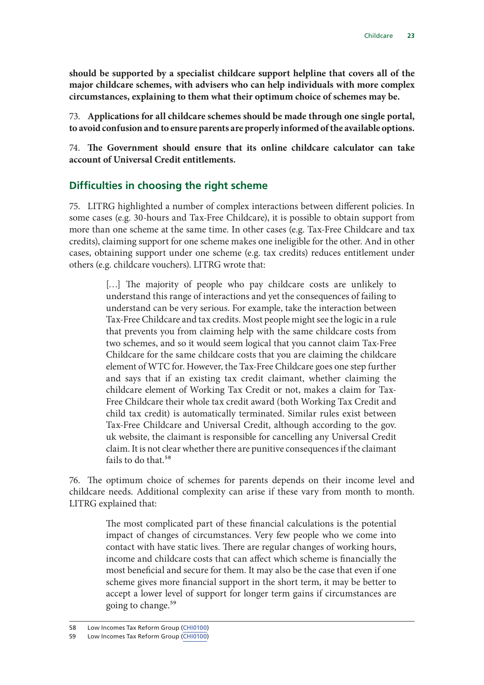<span id="page-24-0"></span>**should be supported by a specialist childcare support helpline that covers all of the major childcare schemes, with advisers who can help individuals with more complex circumstances, explaining to them what their optimum choice of schemes may be.**

73. **Applications for all childcare schemes should be made through one single portal, to avoid confusion and to ensure parents are properly informed of the available options.**

74. **The Government should ensure that its online childcare calculator can take account of Universal Credit entitlements.**

#### **Difficulties in choosing the right scheme**

75. LITRG highlighted a number of complex interactions between different policies. In some cases (e.g. 30-hours and Tax-Free Childcare), it is possible to obtain support from more than one scheme at the same time. In other cases (e.g. Tax-Free Childcare and tax credits), claiming support for one scheme makes one ineligible for the other. And in other cases, obtaining support under one scheme (e.g. tax credits) reduces entitlement under others (e.g. childcare vouchers). LITRG wrote that:

> [...] The majority of people who pay childcare costs are unlikely to understand this range of interactions and yet the consequences of failing to understand can be very serious. For example, take the interaction between Tax-Free Childcare and tax credits. Most people might see the logic in a rule that prevents you from claiming help with the same childcare costs from two schemes, and so it would seem logical that you cannot claim Tax-Free Childcare for the same childcare costs that you are claiming the childcare element of WTC for. However, the Tax-Free Childcare goes one step further and says that if an existing tax credit claimant, whether claiming the childcare element of Working Tax Credit or not, makes a claim for Tax-Free Childcare their whole tax credit award (both Working Tax Credit and child tax credit) is automatically terminated. Similar rules exist between Tax-Free Childcare and Universal Credit, although according to the gov. uk website, the claimant is responsible for cancelling any Universal Credit claim. It is not clear whether there are punitive consequences if the claimant fails to do that.<sup>58</sup>

76. The optimum choice of schemes for parents depends on their income level and childcare needs. Additional complexity can arise if these vary from month to month. LITRG explained that:

> The most complicated part of these financial calculations is the potential impact of changes of circumstances. Very few people who we come into contact with have static lives. There are regular changes of working hours, income and childcare costs that can affect which scheme is financially the most beneficial and secure for them. It may also be the case that even if one scheme gives more financial support in the short term, it may be better to accept a lower level of support for longer term gains if circumstances are going to change.59

<sup>58</sup> Low Incomes Tax Reform Group [\(CHI0100\)](http://data.parliament.uk/writtenevidence/committeeevidence.svc/evidencedocument/treasury-committee/childcare/written/78215.html)

<sup>59</sup> Low Incomes Tax Reform Group [\(CHI0100\)](http://data.parliament.uk/writtenevidence/committeeevidence.svc/evidencedocument/treasury-committee/childcare/written/78215.html)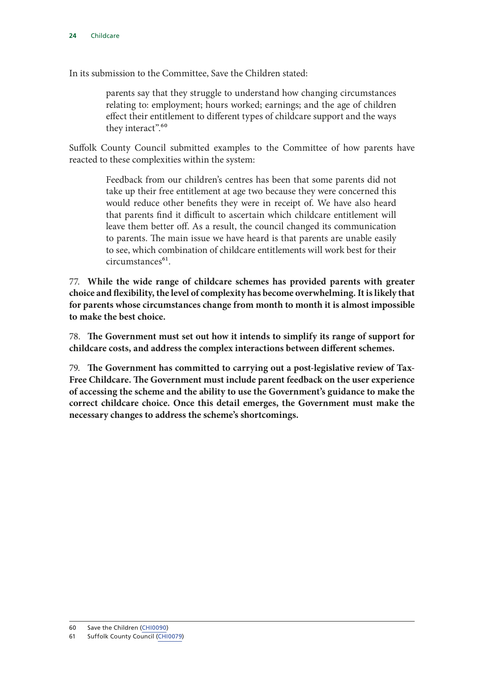In its submission to the Committee, Save the Children stated:

parents say that they struggle to understand how changing circumstances relating to: employment; hours worked; earnings; and the age of children effect their entitlement to different types of childcare support and the ways they interact".<sup>60</sup>

Suffolk County Council submitted examples to the Committee of how parents have reacted to these complexities within the system:

> Feedback from our children's centres has been that some parents did not take up their free entitlement at age two because they were concerned this would reduce other benefits they were in receipt of. We have also heard that parents find it difficult to ascertain which childcare entitlement will leave them better off. As a result, the council changed its communication to parents. The main issue we have heard is that parents are unable easily to see, which combination of childcare entitlements will work best for their  $circumstance<sup>61</sup>$ .

77. **While the wide range of childcare schemes has provided parents with greater choice and flexibility, the level of complexity has become overwhelming. It is likely that for parents whose circumstances change from month to month it is almost impossible to make the best choice.**

78. **The Government must set out how it intends to simplify its range of support for childcare costs, and address the complex interactions between different schemes.**

79. **The Government has committed to carrying out a post-legislative review of Tax-Free Childcare. The Government must include parent feedback on the user experience of accessing the scheme and the ability to use the Government's guidance to make the correct childcare choice. Once this detail emerges, the Government must make the necessary changes to address the scheme's shortcomings.**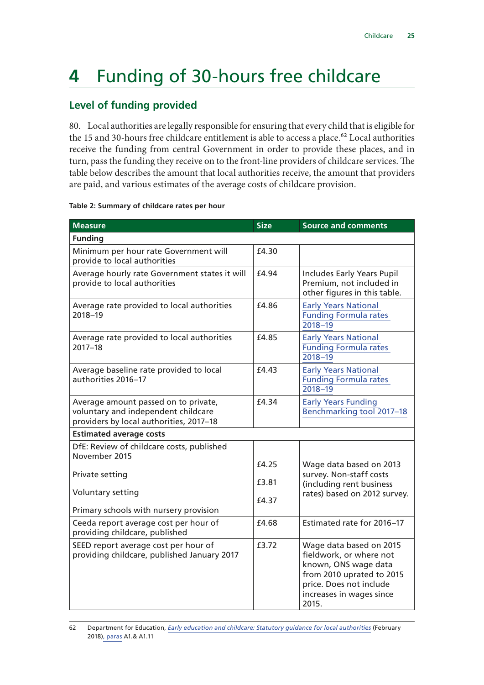### <span id="page-26-0"></span>**4** Funding of 30-hours free childcare

#### **Level of funding provided**

80. Local authorities are legally responsible for ensuring that every child that is eligible for the 15 and 30-hours free childcare entitlement is able to access a place.<sup>62</sup> Local authorities receive the funding from central Government in order to provide these places, and in turn, pass the funding they receive on to the front-line providers of childcare services. The table below describes the amount that local authorities receive, the amount that providers are paid, and various estimates of the average costs of childcare provision.

| <b>Measure</b>                                                                                                         | <b>Size</b>    | <b>Source and comments</b>                                                                                                                                              |
|------------------------------------------------------------------------------------------------------------------------|----------------|-------------------------------------------------------------------------------------------------------------------------------------------------------------------------|
| <b>Funding</b>                                                                                                         |                |                                                                                                                                                                         |
| Minimum per hour rate Government will<br>provide to local authorities                                                  | £4.30          |                                                                                                                                                                         |
| Average hourly rate Government states it will<br>provide to local authorities                                          | £4.94          | Includes Early Years Pupil<br>Premium, not included in<br>other figures in this table.                                                                                  |
| Average rate provided to local authorities<br>2018-19                                                                  | £4.86          | <b>Early Years National</b><br><b>Funding Formula rates</b><br>$2018 - 19$                                                                                              |
| Average rate provided to local authorities<br>$2017 - 18$                                                              | £4.85          | <b>Early Years National</b><br><b>Funding Formula rates</b><br>$2018 - 19$                                                                                              |
| Average baseline rate provided to local<br>authorities 2016-17                                                         | £4.43          | <b>Early Years National</b><br><b>Funding Formula rates</b><br>$2018 - 19$                                                                                              |
| Average amount passed on to private,<br>voluntary and independent childcare<br>providers by local authorities, 2017-18 | £4.34          | <b>Early Years Funding</b><br>Benchmarking tool 2017-18                                                                                                                 |
| <b>Estimated average costs</b>                                                                                         |                |                                                                                                                                                                         |
| DfE: Review of childcare costs, published<br>November 2015                                                             |                |                                                                                                                                                                         |
| Private setting                                                                                                        | £4.25<br>£3.81 | Wage data based on 2013<br>survey. Non-staff costs<br>(including rent business                                                                                          |
| Voluntary setting<br>Primary schools with nursery provision                                                            | £4.37          | rates) based on 2012 survey.                                                                                                                                            |
| Ceeda report average cost per hour of<br>providing childcare, published                                                | £4.68          | Estimated rate for 2016-17                                                                                                                                              |
| SEED report average cost per hour of<br>providing childcare, published January 2017                                    | £3.72          | Wage data based on 2015<br>fieldwork, or where not<br>known, ONS wage data<br>from 2010 uprated to 2015<br>price. Does not include<br>increases in wages since<br>2015. |

#### **Table 2: Summary of childcare rates per hour**

<sup>62</sup> Department for Education, *[Early education and childcare: Statutory guidance for local authorities](https://www.gov.uk/government/uploads/system/uploads/attachment_data/file/682005/Early_education_and_childcare_Statutory_guidance_for-LAs.pdf)* (February 2018)[,](https://www.gov.uk/government/uploads/system/uploads/attachment_data/file/682005/Early_education_and_childcare_Statutory_guidance_for-LAs.pdf) paras A1.& A1.11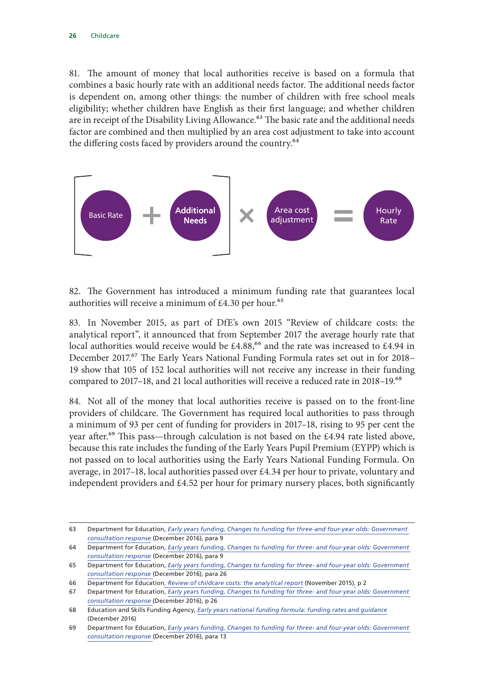81. The amount of money that local authorities receive is based on a formula that combines a basic hourly rate with an additional needs factor. The additional needs factor is dependent on, among other things: the number of children with free school meals eligibility; whether children have English as their first language; and whether children are in receipt of the Disability Living Allowance.<sup>63</sup> The basic rate and the additional needs factor are combined and then multiplied by an area cost adjustment to take into account the differing costs faced by providers around the country.<sup>64</sup>



82. The Government has introduced a minimum funding rate that guarantees local authorities will receive a minimum of  $£4.30$  per hour.<sup>65</sup>

83. In November 2015, as part of DfE's own 2015 "Review of childcare costs: the analytical report", it announced that from September 2017 the average hourly rate that local authorities would receive would be  $£4.88<sup>66</sup>$  and the rate was increased to  $£4.94$  in December 2017.<sup>67</sup> The Early Years National Funding Formula rates set out in for 2018– 19 show that 105 of 152 local authorities will not receive any increase in their funding compared to 2017–18, and 21 local authorities will receive a reduced rate in 2018–19.<sup>68</sup>

84. Not all of the money that local authorities receive is passed on to the front-line providers of childcare. The Government has required local authorities to pass through a minimum of 93 per cent of funding for providers in 2017–18, rising to 95 per cent the year after.<sup>69</sup> This pass—through calculation is not based on the £4.94 rate listed above, because this rate includes the funding of the Early Years Pupil Premium (EYPP) which is not passed on to local authorities using the Early Years National Funding Formula. On average, in 2017–18, local authorities passed over £4.34 per hour to private, voluntary and independent providers and £4.52 per hour for primary nursery places, both significantly

<sup>63</sup> Department for Education, *[Early years funding, Changes to funding for three-and four-year olds: Government](https://www.gov.uk/government/uploads/system/uploads/attachment_data/file/574040/Early_years_funding_government_consultation_response.pdf)  [consultation response](https://www.gov.uk/government/uploads/system/uploads/attachment_data/file/574040/Early_years_funding_government_consultation_response.pdf)* (December 2016), para 9

<sup>64</sup> Department for Education, *[Early years funding, Changes to funding for three- and four-year olds: Government](https://www.gov.uk/government/uploads/system/uploads/attachment_data/file/574040/Early_years_funding_government_consultation_response.pdf)  [consultation response](https://www.gov.uk/government/uploads/system/uploads/attachment_data/file/574040/Early_years_funding_government_consultation_response.pdf)* (December 2016), para 9

<sup>65</sup> Department for Education, *[Early years funding, Changes to funding for three- and four-year olds: Government](https://www.gov.uk/government/uploads/system/uploads/attachment_data/file/574040/Early_years_funding_government_consultation_response.pdf)  [consultation response](https://www.gov.uk/government/uploads/system/uploads/attachment_data/file/574040/Early_years_funding_government_consultation_response.pdf)* (December 2016), para 26

<sup>66</sup> Department for Education, *[Review of childcare costs: the analytical report](https://www.gov.uk/government/uploads/system/uploads/attachment_data/file/479659/151124_Analytical_review_FINAL_VERSION.pdf)* (November 2015)[,](https://www.gov.uk/government/uploads/system/uploads/attachment_data/file/479659/151124_Analytical_review_FINAL_VERSION.pdf) p 2

<sup>67</sup> Department for Education, *[Early years funding, Changes to funding for three- and four-year olds: Government](https://www.gov.uk/government/uploads/system/uploads/attachment_data/file/574040/Early_years_funding_government_consultation_response.pdf)  [consultation response](https://www.gov.uk/government/uploads/system/uploads/attachment_data/file/574040/Early_years_funding_government_consultation_response.pdf)* (December 2016), p 26

<sup>68</sup> Education and Skills Funding Agency, *[Early years national funding formula: funding rates and guidance](https://www.gov.uk/government/uploads/system/uploads/attachment_data/file/659958/EYNFF_1819_Rates_StepByStepTables.xlsx)* (December 2016)

<sup>69</sup> Department for Education, *[Early years funding, Changes to funding for three- and four-year olds: Government](https://www.gov.uk/government/uploads/system/uploads/attachment_data/file/574040/Early_years_funding_government_consultation_response.pdf)  [consultation response](https://www.gov.uk/government/uploads/system/uploads/attachment_data/file/574040/Early_years_funding_government_consultation_response.pdf)* (December 2016), para 13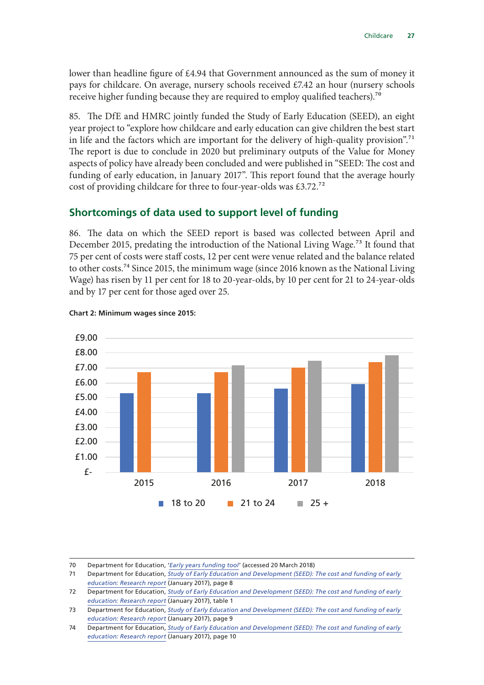<span id="page-28-0"></span>lower than headline figure of £4.94 that Government announced as the sum of money it pays for childcare. On average, nursery schools received £7.42 an hour (nursery schools receive higher funding because they are required to employ qualified teachers).70

85. The DfE and HMRC jointly funded the Study of Early Education (SEED), an eight year project to "explore how childcare and early education can give children the best start in life and the factors which are important for the delivery of high-quality provision".<sup>71</sup> The report is due to conclude in 2020 but preliminary outputs of the Value for Money aspects of policy have already been concluded and were published in "SEED: The cost and funding of early education, in January 2017". This report found that the average hourly cost of providing childcare for three to four-year-olds was £3.72.<sup>72</sup>

#### **Shortcomings of data used to support level of funding**

86. The data on which the SEED report is based was collected between April and December 2015, predating the introduction of the National Living Wage.<sup>73</sup> It found that 75 per cent of costs were staff costs, 12 per cent were venue related and the balance related to other costs.<sup>74</sup> Since 2015, the minimum wage (since 2016 known as the National Living Wage) has risen by 11 per cent for 18 to 20-year-olds, by 10 per cent for 21 to 24-year-olds and by 17 per cent for those aged over 25.



70 Department for Education, '*[Early years funding tool](https://www.gov.uk/government/uploads/system/uploads/attachment_data/file/655847/Early_years_funding_benchmarking_tool_2017_to_2018__v2_.xlsm)*' (accessed 20 March 2018)

<sup>71</sup> Department for Education, *[Study of Early Education and Development \(SEED\): The cost and funding of early](https://www.gov.uk/government/uploads/system/uploads/attachment_data/file/586235/SEED_-_The_cost_and_funding_of_early_education_-_RR552.pdf)  [education: Research report](https://www.gov.uk/government/uploads/system/uploads/attachment_data/file/586235/SEED_-_The_cost_and_funding_of_early_education_-_RR552.pdf)* (January 2017), page 8

<sup>72</sup> Department for Education, *[Study of Early Education and Development \(SEED\): The cost and funding of early](https://www.gov.uk/government/uploads/system/uploads/attachment_data/file/586235/SEED_-_The_cost_and_funding_of_early_education_-_RR552.pdf)  [education: Research report](https://www.gov.uk/government/uploads/system/uploads/attachment_data/file/586235/SEED_-_The_cost_and_funding_of_early_education_-_RR552.pdf)* (January 2017), table 1

<sup>73</sup> Department for Education, *[Study of Early Education and Development \(SEED\): The cost and funding of early](https://www.gov.uk/government/uploads/system/uploads/attachment_data/file/586235/SEED_-_The_cost_and_funding_of_early_education_-_RR552.pdf)  [education: Research report](https://www.gov.uk/government/uploads/system/uploads/attachment_data/file/586235/SEED_-_The_cost_and_funding_of_early_education_-_RR552.pdf)* (January 2017), page 9

<sup>74</sup> Department for Education, *[Study of Early Education and Development \(SEED\): The cost and funding of early](https://www.gov.uk/government/uploads/system/uploads/attachment_data/file/586235/SEED_-_The_cost_and_funding_of_early_education_-_RR552.pdf)  [education: Research report](https://www.gov.uk/government/uploads/system/uploads/attachment_data/file/586235/SEED_-_The_cost_and_funding_of_early_education_-_RR552.pdf)* (January 2017), page 10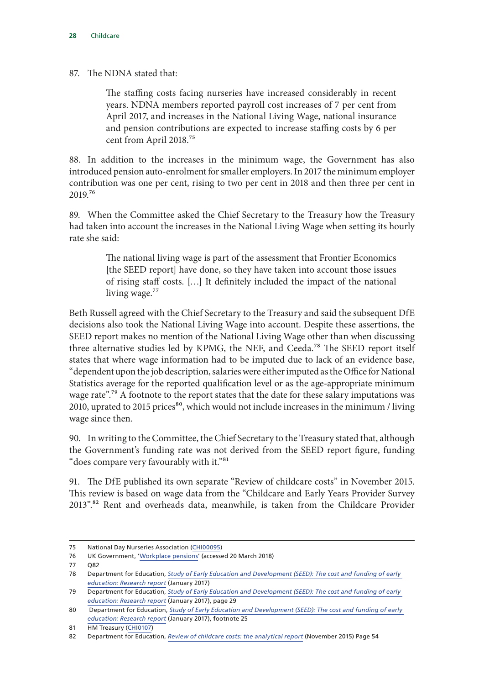87. The NDNA stated that:

The staffing costs facing nurseries have increased considerably in recent years. NDNA members reported payroll cost increases of 7 per cent from April 2017, and increases in the National Living Wage, national insurance and pension contributions are expected to increase staffing costs by 6 per cent from April 2018.75

88. In addition to the increases in the minimum wage, the Government has also introduced pension auto-enrolment for smaller employers. In 2017 the minimum employer contribution was one per cent, rising to two per cent in 2018 and then three per cent in 2019.76

89. When the Committee asked the Chief Secretary to the Treasury how the Treasury had taken into account the increases in the National Living Wage when setting its hourly rate she said:

> The national living wage is part of the assessment that Frontier Economics [the SEED report] have done, so they have taken into account those issues of rising staff costs. […] It definitely included the impact of the national living wage.<sup>77</sup>

Beth Russell agreed with the Chief Secretary to the Treasury and said the subsequent DfE decisions also took the National Living Wage into account. Despite these assertions, the SEED report makes no mention of the National Living Wage other than when discussing three alternative studies led by KPMG, the NEF, and Ceeda.<sup>78</sup> The SEED report itself states that where wage information had to be imputed due to lack of an evidence base, "dependent upon the job description, salaries were either imputed as the Office for National Statistics average for the reported qualification level or as the age-appropriate minimum wage rate".<sup>79</sup> A footnote to the report states that the date for these salary imputations was 2010, uprated to 2015 prices $^{80}$ , which would not include increases in the minimum / living wage since then.

90. In writing to the Committee, the Chief Secretary to the Treasury stated that, although the Government's funding rate was not derived from the SEED report figure, funding "does compare very favourably with it."<sup>81</sup>

91. The DfE published its own separate "Review of childcare costs" in November 2015. This review is based on wage data from the "Childcare and Early Years Provider Survey 2013".82 Rent and overheads data, meanwhile, is taken from the Childcare Provider

<sup>75</sup> National Day Nurseries Association ([CHI00095](http://data.parliament.uk/writtenevidence/committeeevidence.svc/evidencedocument/treasury-committee/childcare/written/78203.html))

<sup>76</sup> UK Government, '[Workplace pensions'](https://www.gov.uk/workplace-pensions/what-you-your-employer-and-the-government-pay) (accessed 20 March 2018)

<sup>77</sup> Q82

<sup>78</sup> Department for Education, *[Study of Early Education and Development \(SEED\): The cost and funding of early](https://www.gov.uk/government/uploads/system/uploads/attachment_data/file/586235/SEED_-_The_cost_and_funding_of_early_education_-_RR552.pdf)  [education: Research report](https://www.gov.uk/government/uploads/system/uploads/attachment_data/file/586235/SEED_-_The_cost_and_funding_of_early_education_-_RR552.pdf)* (January 2017)

<sup>79</sup> Department for Education, *[Study of Early Education and Development \(SEED\): The cost and funding of early](https://www.gov.uk/government/uploads/system/uploads/attachment_data/file/586235/SEED_-_The_cost_and_funding_of_early_education_-_RR552.pdf)  [education: Research report](https://www.gov.uk/government/uploads/system/uploads/attachment_data/file/586235/SEED_-_The_cost_and_funding_of_early_education_-_RR552.pdf)* (January 2017), page 29

<sup>80</sup> Department for Education, *[Study of Early Education and Development \(SEED\): The cost and funding of early](https://www.gov.uk/government/uploads/system/uploads/attachment_data/file/586235/SEED_-_The_cost_and_funding_of_early_education_-_RR552.pdf)  [education: Research report](https://www.gov.uk/government/uploads/system/uploads/attachment_data/file/586235/SEED_-_The_cost_and_funding_of_early_education_-_RR552.pdf)* (January 2017), **f**ootnote 25

<sup>81</sup> HM Treasury [\(CHI0107](http://data.parliament.uk/writtenevidence/committeeevidence.svc/evidencedocument/treasury-committee/childcare/written/79719.html))

<sup>82</sup> Department for Education, *[Review of childcare costs: the analytical report](https://www.gov.uk/government/uploads/system/uploads/attachment_data/file/479659/151124_Analytical_review_FINAL_VERSION.pdf)* (November 2015) Page 54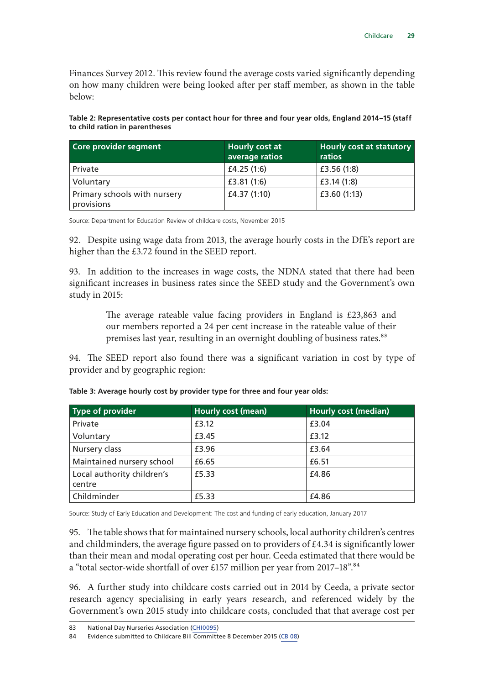Finances Survey 2012. This review found the average costs varied significantly depending on how many children were being looked after per staff member, as shown in the table below:

**Table 2: Representative costs per contact hour for three and four year olds, England 2014–15 (staff to child ration in parentheses**

| Core provider segment                      | Hourly cost at<br>average ratios | Hourly cost at statutory<br>ratios |
|--------------------------------------------|----------------------------------|------------------------------------|
| Private                                    | £4.25 $(1:6)$                    | £3.56 $(1:8)$                      |
| Voluntary                                  | £3.81(1:6)                       | £3.14(1:8)                         |
| Primary schools with nursery<br>provisions | £4.37 (1:10)                     | £3.60 $(1:13)$                     |

Source: Department for Education Review of childcare costs, November 2015

92. Despite using wage data from 2013, the average hourly costs in the DfE's report are higher than the £3.72 found in the SEED report.

93. In addition to the increases in wage costs, the NDNA stated that there had been significant increases in business rates since the SEED study and the Government's own study in 2015:

> The average rateable value facing providers in England is £23,863 and our members reported a 24 per cent increase in the rateable value of their premises last year, resulting in an overnight doubling of business rates.<sup>83</sup>

94. The SEED report also found there was a significant variation in cost by type of provider and by geographic region:

| Type of provider                     | <b>Hourly cost (mean)</b> | <b>Hourly cost (median)</b> |
|--------------------------------------|---------------------------|-----------------------------|
| Private                              | £3.12                     | £3.04                       |
| Voluntary                            | £3.45                     | £3.12                       |
| Nursery class                        | £3.96                     | £3.64                       |
| Maintained nursery school            | £6.65                     | £6.51                       |
| Local authority children's<br>centre | £5.33                     | £4.86                       |
| Childminder                          | £5.33                     | £4.86                       |

**Table 3: Average hourly cost by provider type for three and four year olds:**

Source: Study of Early Education and Development: The cost and funding of early education, January 2017

95. The table shows that for maintained nursery schools, local authority children's centres and childminders, the average figure passed on to providers of £4.34 is significantly lower than their mean and modal operating cost per hour. Ceeda estimated that there would be a "total sector-wide shortfall of over £157 million per year from 2017-18".<sup>84</sup>

96. A further study into childcare costs carried out in 2014 by Ceeda, a private sector research agency specialising in early years research, and referenced widely by the Government's own 2015 study into childcare costs, concluded that that average cost per

<sup>83</sup> National Day Nurseries Association ([CHI0095\)](http://data.parliament.uk/writtenevidence/committeeevidence.svc/evidencedocument/treasury-committee/childcare/written/78203.html)

<sup>84</sup> Evidence submitted to Childcare Bill Committee 8 December 2015 ([CB 08\)](http://www.publications.parliament.uk/pa/cm201516/cmpublic/childcare/memo/cb08.htm)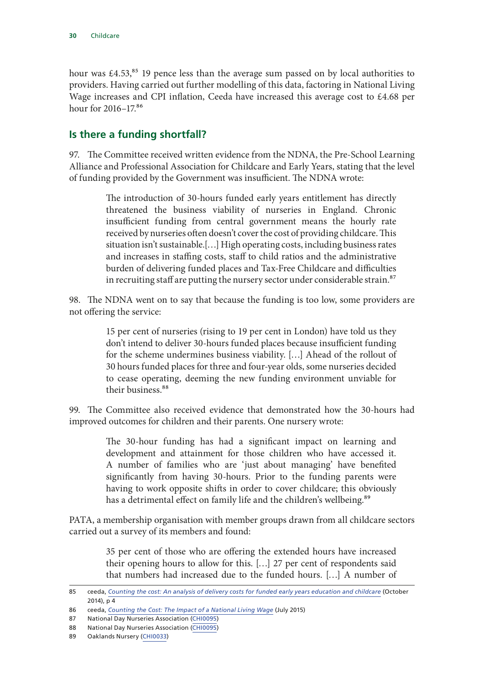<span id="page-31-0"></span>hour was  $\text{\pounds}4.53$ ,<sup>85</sup> 19 pence less than the average sum passed on by local authorities to providers. Having carried out further modelling of this data, factoring in National Living Wage increases and CPI inflation, Ceeda have increased this average cost to £4.68 per hour for 2016-17.86

#### **Is there a funding shortfall?**

97. The Committee received written evidence from the NDNA, the Pre-School Learning Alliance and Professional Association for Childcare and Early Years, stating that the level of funding provided by the Government was insufficient. The NDNA wrote:

> The introduction of 30-hours funded early years entitlement has directly threatened the business viability of nurseries in England. Chronic insufficient funding from central government means the hourly rate received by nurseries often doesn't cover the cost of providing childcare. This situation isn't sustainable.[…] High operating costs, including business rates and increases in staffing costs, staff to child ratios and the administrative burden of delivering funded places and Tax-Free Childcare and difficulties in recruiting staff are putting the nursery sector under considerable strain.<sup>87</sup>

98. The NDNA went on to say that because the funding is too low, some providers are not offering the service:

> 15 per cent of nurseries (rising to 19 per cent in London) have told us they don't intend to deliver 30-hours funded places because insufficient funding for the scheme undermines business viability. […] Ahead of the rollout of 30 hours funded places for three and four-year olds, some nurseries decided to cease operating, deeming the new funding environment unviable for their business.<sup>88</sup>

99. The Committee also received evidence that demonstrated how the 30-hours had improved outcomes for children and their parents. One nursery wrote:

> The 30-hour funding has had a significant impact on learning and development and attainment for those children who have accessed it. A number of families who are 'just about managing' have benefited significantly from having 30-hours. Prior to the funding parents were having to work opposite shifts in order to cover childcare; this obviously has a detrimental effect on family life and the children's wellbeing.<sup>89</sup>

PATA, a membership organisation with member groups drawn from all childcare sectors carried out a survey of its members and found:

> 35 per cent of those who are offering the extended hours have increased their opening hours to allow for this. […] 27 per cent of respondents said that numbers had increased due to the funded hours. […] A number of

<sup>85</sup> ceeda, *[Counting the cost: An analysis of delivery costs for funded early years education and childcare](https://www.ceeda.co.uk/media/1085/counting-the-cost_ceeda-oct-2014.pdf)* (October 2014), p 4

<sup>86</sup> ceeda, *[Counting the Cost: The Impact of a National Living Wage](https://www.ceeda.co.uk/media/1140/counting-the-cost-briefing-paper_impact-of-a-national-living-wage_-evidence-submitted-by-psla-to-the-government-review-of-childcare-costs_01.pdf)* (July 2015)

<sup>87</sup> National Day Nurseries Association ([CHI0095\)](http://data.parliament.uk/writtenevidence/committeeevidence.svc/evidencedocument/treasury-committee/childcare/written/78203.html)

<sup>88</sup> National Day Nurseries Association ([CHI0095\)](http://data.parliament.uk/writtenevidence/committeeevidence.svc/evidencedocument/treasury-committee/childcare/written/78203.html)

<sup>89</sup> Oaklands Nursery [\(CHI0033](http://data.parliament.uk/writtenevidence/committeeevidence.svc/evidencedocument/treasury-committee/childcare/written/77958.html))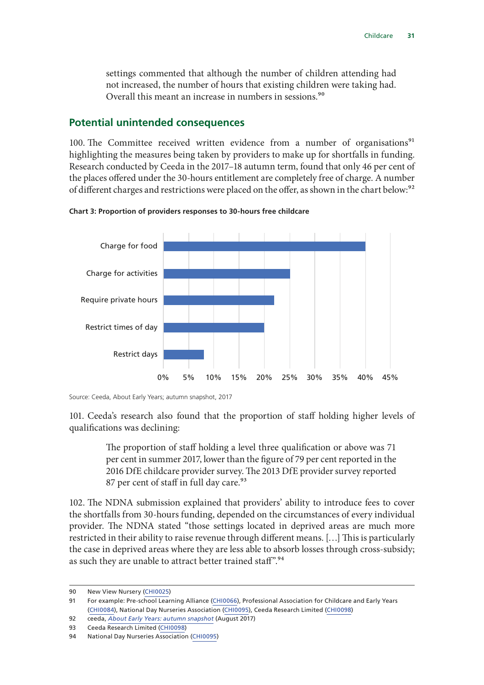<span id="page-32-0"></span>settings commented that although the number of children attending had not increased, the number of hours that existing children were taking had. Overall this meant an increase in numbers in sessions.<sup>90</sup>

#### **Potential unintended consequences**

100. The Committee received written evidence from a number of organisations<sup>91</sup> highlighting the measures being taken by providers to make up for shortfalls in funding. Research conducted by Ceeda in the 2017–18 autumn term, found that only 46 per cent of the places offered under the 30-hours entitlement are completely free of charge. A number of different charges and restrictions were placed on the offer, as shown in the chart below:<sup>92</sup>





Source: Ceeda, About Early Years; autumn snapshot, 2017

101. Ceeda's research also found that the proportion of staff holding higher levels of qualifications was declining:

> The proportion of staff holding a level three qualification or above was 71 per cent in summer 2017, lower than the figure of 79 per cent reported in the 2016 DfE childcare provider survey. The 2013 DfE provider survey reported 87 per cent of staff in full day care.<sup>93</sup>

102. The NDNA submission explained that providers' ability to introduce fees to cover the shortfalls from 30-hours funding, depended on the circumstances of every individual provider. The NDNA stated "those settings located in deprived areas are much more restricted in their ability to raise revenue through different means. […] This is particularly the case in deprived areas where they are less able to absorb losses through cross-subsidy; as such they are unable to attract better trained staff".<sup>94</sup>

<sup>90</sup> New View Nursery [\(CHI0025\)](http://data.parliament.uk/writtenevidence/committeeevidence.svc/evidencedocument/treasury-committee/childcare/written/77925.html)

<sup>91</sup> For example: Pre-school Learning Alliance ([CHI0066\)](http://data.parliament.uk/writtenevidence/committeeevidence.svc/evidencedocument/treasury-committee/childcare/written/78128.html), Professional Association for Childcare and Early Years [\(CHI0084](http://data.parliament.uk/writtenevidence/committeeevidence.svc/evidencedocument/treasury-committee/childcare/written/78184.html)), National Day Nurseries Association [\(CHI0095\)](http://data.parliament.uk/writtenevidence/committeeevidence.svc/evidencedocument/treasury-committee/childcare/written/78203.html), Ceeda Research Limited [\(CHI0098](http://data.parliament.uk/writtenevidence/committeeevidence.svc/evidencedocument/treasury-committee/childcare/written/78208.html))

<sup>92</sup> ceeda, *[About Early Years: autumn snapshot](http://aboutearlyyears.co.uk/media/1136/ceeda-aey-autumn-2017-snapshot_release_v1.pdf)* (August 2017)

<sup>93</sup> Ceeda Research Limited [\(CHI0098](http://data.parliament.uk/writtenevidence/committeeevidence.svc/evidencedocument/treasury-committee/childcare/written/78208.html))

<sup>94</sup> National Day Nurseries Association ([CHI0095\)](http://data.parliament.uk/writtenevidence/committeeevidence.svc/evidencedocument/treasury-committee/childcare/written/78203.html)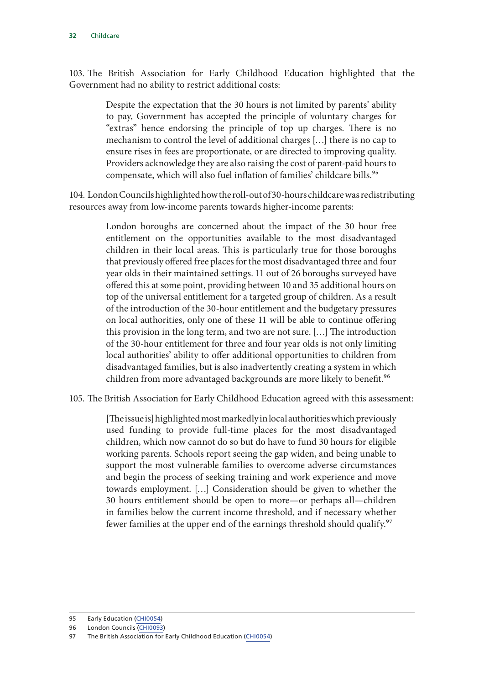103. The British Association for Early Childhood Education highlighted that the Government had no ability to restrict additional costs:

> Despite the expectation that the 30 hours is not limited by parents' ability to pay, Government has accepted the principle of voluntary charges for "extras" hence endorsing the principle of top up charges. There is no mechanism to control the level of additional charges […] there is no cap to ensure rises in fees are proportionate, or are directed to improving quality. Providers acknowledge they are also raising the cost of parent-paid hours to compensate, which will also fuel inflation of families' childcare bills.<sup>95</sup>

104. London Councils highlighted how the roll-out of 30-hours childcare was redistributing resources away from low-income parents towards higher-income parents:

> London boroughs are concerned about the impact of the 30 hour free entitlement on the opportunities available to the most disadvantaged children in their local areas. This is particularly true for those boroughs that previously offered free places for the most disadvantaged three and four year olds in their maintained settings. 11 out of 26 boroughs surveyed have offered this at some point, providing between 10 and 35 additional hours on top of the universal entitlement for a targeted group of children. As a result of the introduction of the 30-hour entitlement and the budgetary pressures on local authorities, only one of these 11 will be able to continue offering this provision in the long term, and two are not sure. […] The introduction of the 30-hour entitlement for three and four year olds is not only limiting local authorities' ability to offer additional opportunities to children from disadvantaged families, but is also inadvertently creating a system in which children from more advantaged backgrounds are more likely to benefit.<sup>96</sup>

105. The British Association for Early Childhood Education agreed with this assessment:

[The issue is] highlighted most markedly in local authorities which previously used funding to provide full-time places for the most disadvantaged children, which now cannot do so but do have to fund 30 hours for eligible working parents. Schools report seeing the gap widen, and being unable to support the most vulnerable families to overcome adverse circumstances and begin the process of seeking training and work experience and move towards employment. […] Consideration should be given to whether the 30 hours entitlement should be open to more—or perhaps all—children in families below the current income threshold, and if necessary whether fewer families at the upper end of the earnings threshold should qualify.<sup>97</sup>

<sup>95</sup> Early Education ([CHI0054\)](http://data.parliament.uk/writtenevidence/committeeevidence.svc/evidencedocument/treasury-committee/childcare/written/78086.html)

<sup>96</sup> London Councils [\(CHI0093\)](http://data.parliament.uk/writtenevidence/committeeevidence.svc/evidencedocument/treasury-committee/childcare/written/78200.html)

<sup>97</sup> The British Association for Early Childhood Education [\(CHI0054](http://data.parliament.uk/writtenevidence/committeeevidence.svc/evidencedocument/treasury-committee/childcare/written/78086.html))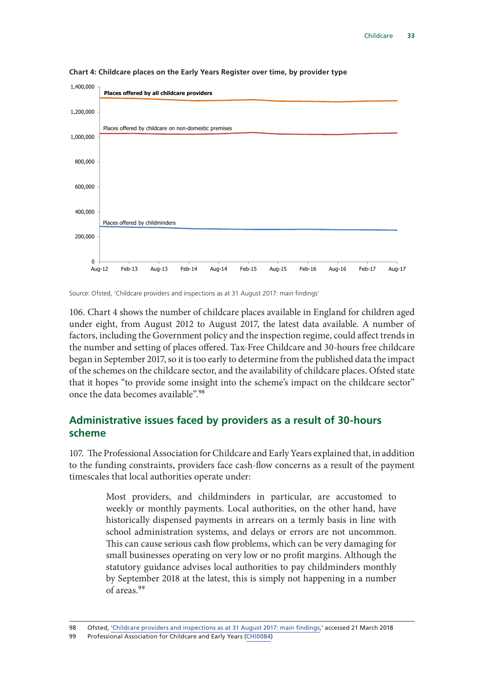

<span id="page-34-0"></span>Chart 4: Childcare places on the Early Years Register over time, by provider type

Source: Ofsted, 'Childcare providers and inspections as at 31 August 2017: main findings'

 $C_1$  children provider numbers have decreased by 26% since 31 August 2012, but 26% since 31 August 2012, but 2012, but 2012, but 2012, but 2012, but 2012, but 2012, but 2012, but 2012, but 2012, but 2012, but 2012, but 2 106. Chart 4 shows the number of childcare places available in England for children aged under eight, from August 2012 to August 2017, the latest data available. A number of factors, including the Government policy and the inspection regime, could affect trends in the number and setting of places offered. Tax-Free Childcare and 30-hours free childcare began in September 2017, so it is too early to determine from the published data the impact of the schemes on the childcare sector, and the availability of childcare places. Ofsted state that it hopes "to provide some insight into the scheme's impact on the childcare sector" once the data becomes available".<sup>98</sup>

#### Administrative issues faced by providers as a result of 30-hours of free childcare each week for 3-4 year olds during term-time. As at 31 August  $201200$  codes had been issued for eligible children whose parents  $\alpha$ **scheme**

107. The Professional Association for Childcare and Early Years explained that, in addition timescales that local authorities operate under: in function function  $\mathbf{r}$ to the funding constraints, providers face cash-flow concerns as a result of the payment

statutory guidance advises local authorities to pay childminders monthly by September 2018 at the latest, this is simply not happening in a number historically dispensed payments in arrears on a termly basis in line with school administration systems, and delays or errors are not uncommon. Most providers, and childminders in particular, are accustomed to weekly or monthly payments. Local authorities, on the other hand, have This can cause serious cash flow problems, which can be very damaging for small businesses operating on very low or no profit margins. Although the of areas.99

<sup>98</sup> Ofsted, ['Childcare providers and inspections as at 31 August 2017: main findings,](https://www.gov.uk/government/publications/childcare-providers-and-inspections-as-at-31-august-2017/childcare-providers-and-inspections-as-at-31-august-2017-main-findings)' accessed 21 March 2018

<sup>99</sup> Professional Association for Childcare and Early Years [\(CHI0084](http://data.parliament.uk/writtenevidence/committeeevidence.svc/evidencedocument/treasury-committee/childcare/written/78184.html))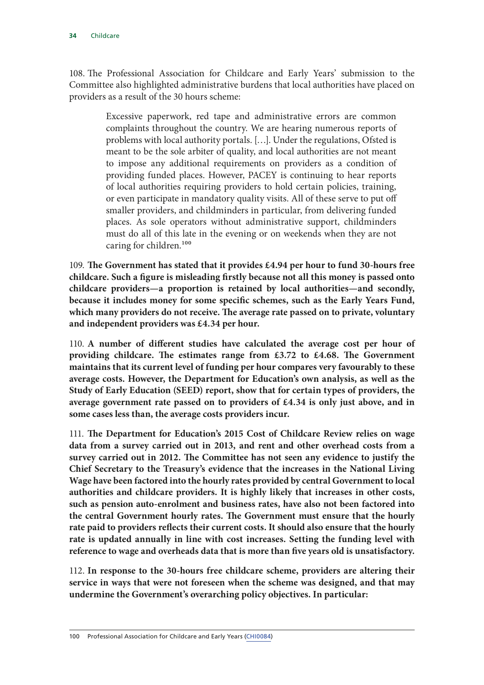108. The Professional Association for Childcare and Early Years' submission to the Committee also highlighted administrative burdens that local authorities have placed on providers as a result of the 30 hours scheme:

> Excessive paperwork, red tape and administrative errors are common complaints throughout the country. We are hearing numerous reports of problems with local authority portals. […]. Under the regulations, Ofsted is meant to be the sole arbiter of quality, and local authorities are not meant to impose any additional requirements on providers as a condition of providing funded places. However, PACEY is continuing to hear reports of local authorities requiring providers to hold certain policies, training, or even participate in mandatory quality visits. All of these serve to put off smaller providers, and childminders in particular, from delivering funded places. As sole operators without administrative support, childminders must do all of this late in the evening or on weekends when they are not caring for children.<sup>100</sup>

109. The Government has stated that it provides £4.94 per hour to fund 30-hours free **childcare. Such a figure is misleading firstly because not all this money is passed onto childcare providers—a proportion is retained by local authorities—and secondly, because it includes money for some specific schemes, such as the Early Years Fund, which many providers do not receive. The average rate passed on to private, voluntary and independent providers was £4.34 per hour.**

110. **A number of different studies have calculated the average cost per hour of providing childcare. The estimates range from £3.72 to £4.68. The Government maintains that its current level of funding per hour compares very favourably to these average costs. However, the Department for Education's own analysis, as well as the Study of Early Education (SEED) report, show that for certain types of providers, the average government rate passed on to providers of £4.34 is only just above, and in some cases less than, the average costs providers incur.**

111. The Department for Education's 2015 Cost of Childcare Review relies on wage **data from a survey carried out in 2013, and rent and other overhead costs from a survey carried out in 2012. The Committee has not seen any evidence to justify the Chief Secretary to the Treasury's evidence that the increases in the National Living Wage have been factored into the hourly rates provided by central Government to local authorities and childcare providers. It is highly likely that increases in other costs, such as pension auto-enrolment and business rates, have also not been factored into the central Government hourly rates. The Government must ensure that the hourly rate paid to providers reflects their current costs. It should also ensure that the hourly rate is updated annually in line with cost increases. Setting the funding level with reference to wage and overheads data that is more than five years old is unsatisfactory.**

112. **In response to the 30-hours free childcare scheme, providers are altering their service in ways that were not foreseen when the scheme was designed, and that may undermine the Government's overarching policy objectives. In particular:**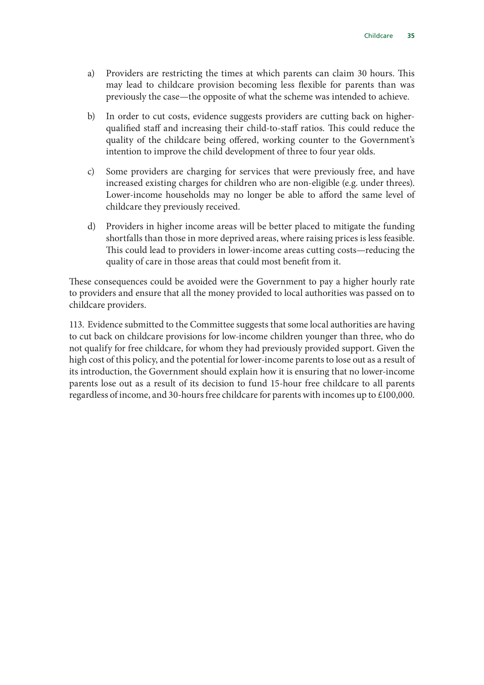- a) Providers are restricting the times at which parents can claim 30 hours. This may lead to childcare provision becoming less flexible for parents than was previously the case—the opposite of what the scheme was intended to achieve.
- b) In order to cut costs, evidence suggests providers are cutting back on higherqualified staff and increasing their child-to-staff ratios. This could reduce the quality of the childcare being offered, working counter to the Government's intention to improve the child development of three to four year olds.
- c) Some providers are charging for services that were previously free, and have increased existing charges for children who are non-eligible (e.g. under threes). Lower-income households may no longer be able to afford the same level of childcare they previously received.
- d) Providers in higher income areas will be better placed to mitigate the funding shortfalls than those in more deprived areas, where raising prices is less feasible. This could lead to providers in lower-income areas cutting costs—reducing the quality of care in those areas that could most benefit from it.

These consequences could be avoided were the Government to pay a higher hourly rate to providers and ensure that all the money provided to local authorities was passed on to childcare providers.

113. Evidence submitted to the Committee suggests that some local authorities are having to cut back on childcare provisions for low-income children younger than three, who do not qualify for free childcare, for whom they had previously provided support. Given the high cost of this policy, and the potential for lower-income parents to lose out as a result of its introduction, the Government should explain how it is ensuring that no lower-income parents lose out as a result of its decision to fund 15-hour free childcare to all parents regardless of income, and 30-hours free childcare for parents with incomes up to £100,000.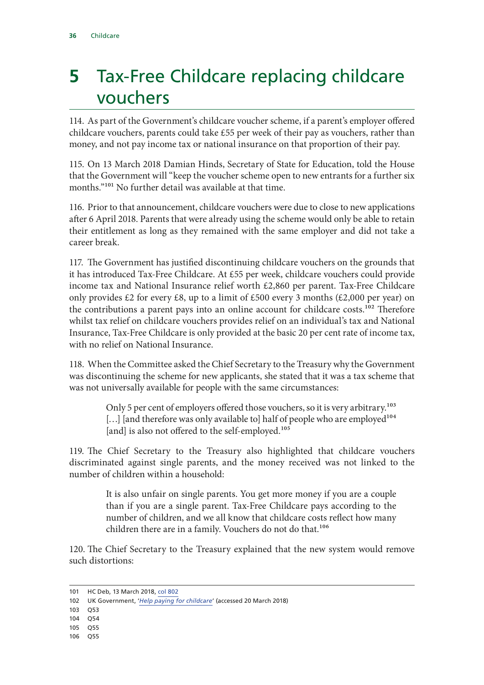### <span id="page-37-0"></span>**5** Tax-Free Childcare replacing childcare vouchers

114. As part of the Government's childcare voucher scheme, if a parent's employer offered childcare vouchers, parents could take £55 per week of their pay as vouchers, rather than money, and not pay income tax or national insurance on that proportion of their pay.

115. On 13 March 2018 Damian Hinds, Secretary of State for Education, told the House that the Government will "keep the voucher scheme open to new entrants for a further six months."<sup>101</sup> No further detail was available at that time.

116. Prior to that announcement, childcare vouchers were due to close to new applications after 6 April 2018. Parents that were already using the scheme would only be able to retain their entitlement as long as they remained with the same employer and did not take a career break.

117. The Government has justified discontinuing childcare vouchers on the grounds that it has introduced Tax-Free Childcare. At £55 per week, childcare vouchers could provide income tax and National Insurance relief worth £2,860 per parent. Tax-Free Childcare only provides  $\&2$  for every  $\&8$ , up to a limit of  $\&500$  every 3 months ( $\&2,000$  per year) on the contributions a parent pays into an online account for childcare costs.<sup>102</sup> Therefore whilst tax relief on childcare vouchers provides relief on an individual's tax and National Insurance, Tax-Free Childcare is only provided at the basic 20 per cent rate of income tax, with no relief on National Insurance.

118. When the Committee asked the Chief Secretary to the Treasury why the Government was discontinuing the scheme for new applicants, she stated that it was a tax scheme that was not universally available for people with the same circumstances:

> Only 5 per cent of employers offered those vouchers, so it is very arbitrary.<sup>103</sup> [...] [and therefore was only available to] half of people who are employed<sup>104</sup> [and] is also not offered to the self-employed.<sup>105</sup>

119. The Chief Secretary to the Treasury also highlighted that childcare vouchers discriminated against single parents, and the money received was not linked to the number of children within a household:

> It is also unfair on single parents. You get more money if you are a couple than if you are a single parent. Tax-Free Childcare pays according to the number of children, and we all know that childcare costs reflect how many children there are in a family. Vouchers do not do that.<sup>106</sup>

120. The Chief Secretary to the Treasury explained that the new system would remove such distortions:

- 103 Q53
- 104 Q54
- 105 Q55
- 106 Q55

<sup>101</sup> HC Deb, 13 March 2018, col 802

<sup>102</sup> UK Government, '*[Help paying for childcare](https://www.gov.uk/help-with-childcare-costs/childcare-vouchers)*' (accessed 20 March 2018)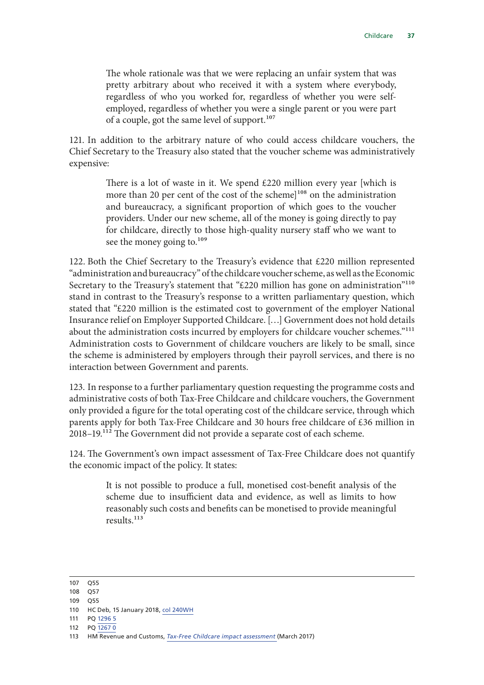The whole rationale was that we were replacing an unfair system that was pretty arbitrary about who received it with a system where everybody, regardless of who you worked for, regardless of whether you were selfemployed, regardless of whether you were a single parent or you were part of a couple, got the same level of support.<sup>107</sup>

121. In addition to the arbitrary nature of who could access childcare vouchers, the Chief Secretary to the Treasury also stated that the voucher scheme was administratively expensive:

> There is a lot of waste in it. We spend £220 million every year [which is more than 20 per cent of the cost of the scheme $]^{108}$  on the administration and bureaucracy, a significant proportion of which goes to the voucher providers. Under our new scheme, all of the money is going directly to pay for childcare, directly to those high-quality nursery staff who we want to see the money going to.<sup>109</sup>

122. Both the Chief Secretary to the Treasury's evidence that £220 million represented "administration and bureaucracy" of the childcare voucher scheme, as well as the Economic Secretary to the Treasury's statement that "£220 million has gone on administration"<sup>110</sup> stand in contrast to the Treasury's response to a written parliamentary question, which stated that "£220 million is the estimated cost to government of the employer National Insurance relief on Employer Supported Childcare. […] Government does not hold details about the administration costs incurred by employers for childcare voucher schemes."111 Administration costs to Government of childcare vouchers are likely to be small, since the scheme is administered by employers through their payroll services, and there is no interaction between Government and parents.

123. In response to a further parliamentary question requesting the programme costs and administrative costs of both Tax-Free Childcare and childcare vouchers, the Government only provided a figure for the total operating cost of the childcare service, through which parents apply for both Tax-Free Childcare and 30 hours free childcare of £36 million in 2018–19.112 The Government did not provide a separate cost of each scheme.

124. The Government's own impact assessment of Tax-Free Childcare does not quantify the economic impact of the policy. It states:

> It is not possible to produce a full, monetised cost-benefit analysis of the scheme due to insufficient data and evidence, as well as limits to how reasonably such costs and benefits can be monetised to provide meaningful results.113

<sup>107</sup> Q55

<sup>108</sup> Q57

<sup>109</sup> Q55

<sup>110</sup> HC Deb, 15 January 2018, [col 240WH](https://hansard.parliament.uk/commons/2018-01-15/debates/F831B5C6-4C08-4F0C-B532-140F9E70B353/ChildcareVouchers)

<sup>111</sup> PQ [1296](http://www.parliament.uk/business/publications/written-questions-answers-statements/written-questions-answers/?page=1&max=20&questiontype=AllQuestions&house=commons%2clords&uin=129635) 5

<sup>112</sup> PQ [1267](http://www.parliament.uk/business/publications/written-questions-answers-statements/written-questions-answers/?page=1&max=20&questiontype=AllQuestions&house=commons%2clords&uin=126730) 0

<sup>113</sup> HM Revenue and Customs, *[Tax-Free Childcare impact assessment](https://www.gov.uk/government/publications/tax-free-childcare-impact-assessment-march-2017)* (March 2017)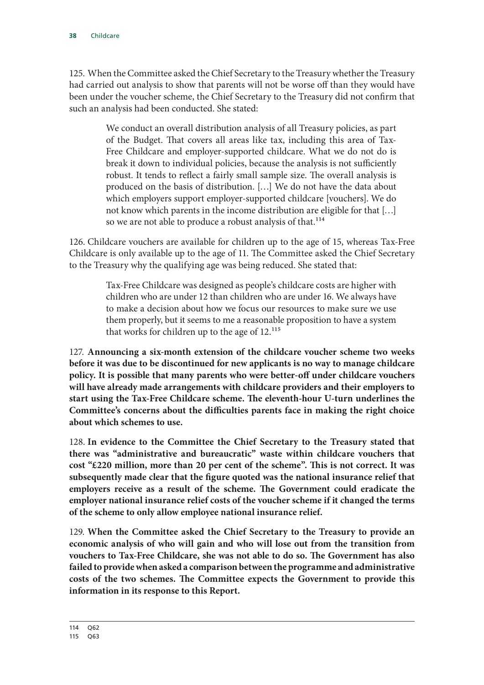125. When the Committee asked the Chief Secretary to the Treasury whether the Treasury had carried out analysis to show that parents will not be worse off than they would have been under the voucher scheme, the Chief Secretary to the Treasury did not confirm that such an analysis had been conducted. She stated:

> We conduct an overall distribution analysis of all Treasury policies, as part of the Budget. That covers all areas like tax, including this area of Tax-Free Childcare and employer-supported childcare. What we do not do is break it down to individual policies, because the analysis is not sufficiently robust. It tends to reflect a fairly small sample size. The overall analysis is produced on the basis of distribution. […] We do not have the data about which employers support employer-supported childcare [vouchers]. We do not know which parents in the income distribution are eligible for that […] so we are not able to produce a robust analysis of that.<sup>114</sup>

126. Childcare vouchers are available for children up to the age of 15, whereas Tax-Free Childcare is only available up to the age of 11. The Committee asked the Chief Secretary to the Treasury why the qualifying age was being reduced. She stated that:

> Tax-Free Childcare was designed as people's childcare costs are higher with children who are under 12 than children who are under 16. We always have to make a decision about how we focus our resources to make sure we use them properly, but it seems to me a reasonable proposition to have a system that works for children up to the age of 12.115

127. **Announcing a six-month extension of the childcare voucher scheme two weeks before it was due to be discontinued for new applicants is no way to manage childcare policy. It is possible that many parents who were better-off under childcare vouchers will have already made arrangements with childcare providers and their employers to start using the Tax-Free Childcare scheme. The eleventh-hour U-turn underlines the Committee's concerns about the difficulties parents face in making the right choice about which schemes to use.**

128. **In evidence to the Committee the Chief Secretary to the Treasury stated that there was "administrative and bureaucratic" waste within childcare vouchers that cost "£220 million, more than 20 per cent of the scheme". This is not correct. It was subsequently made clear that the figure quoted was the national insurance relief that employers receive as a result of the scheme. The Government could eradicate the employer national insurance relief costs of the voucher scheme if it changed the terms of the scheme to only allow employee national insurance relief.**

129. **When the Committee asked the Chief Secretary to the Treasury to provide an economic analysis of who will gain and who will lose out from the transition from vouchers to Tax-Free Childcare, she was not able to do so. The Government has also failed to provide when asked a comparison between the programme and administrative costs of the two schemes. The Committee expects the Government to provide this information in its response to this Report.**

<sup>115</sup> Q63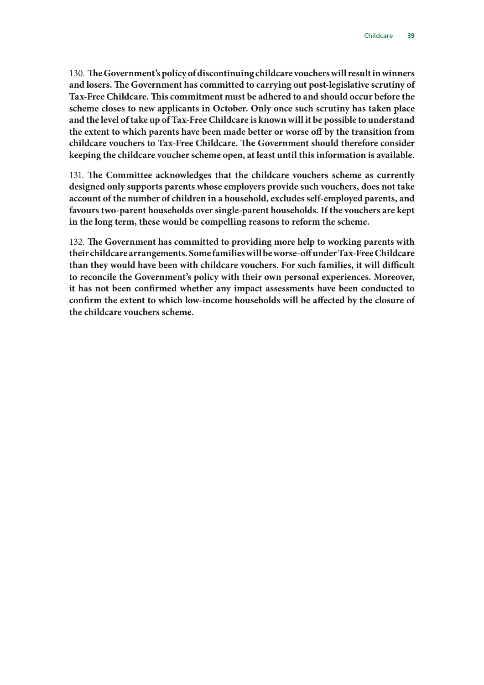130. **T he Government's policy of discontinuing childcare vouchers will result in winners and losers. The Government has committed to carrying out post-legislative scrutiny of Tax-Free Childcare. This commitment must be adhered to and should occur before the scheme closes to new applicants in October. Only once such scrutiny has taken place and the level of take up of Tax-Free Childcare is known will it be possible to understand the extent to which parents have been made better or worse off by the transition from childcare vouchers to Tax-Free Childcare. The Government should therefore consider keeping the childcare voucher scheme open, at least until this information is available.**

131. The Committee acknowledges that the childcare vouchers scheme as currently **designed only supports parents whose employers provide such vouchers, does not take account of the number of children in a household, excludes self-employed parents, and favours two-parent households over single-parent households. If the vouchers are kept in the long term, these would be compelling reasons to reform the scheme.**

132. The Government has committed to providing more help to working parents with **their childcare arrangements. Some families will be worse-off under Tax-Free Childcare than they would have been with childcare vouchers. For such families, it will difficult to reconcile the Government's policy with their own personal experiences. Moreover, it has not been confirmed whether any impact assessments have been conducted to confirm the extent to which low-income households will be affected by the closure of the childcare vouchers scheme.**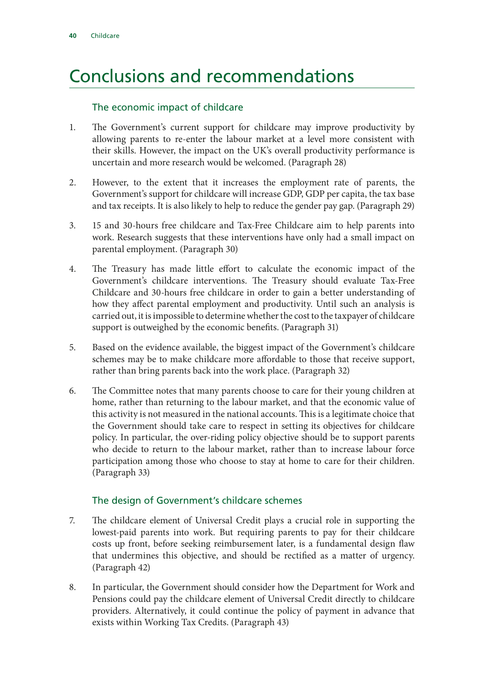### <span id="page-41-0"></span>Conclusions and recommendations

#### The economic impact of childcare

- 1. The Government's current support for childcare may improve productivity by allowing parents to re-enter the labour market at a level more consistent with their skills. However, the impact on the UK's overall productivity performance is uncertain and more research would be welcomed. (Paragraph 28)
- 2. However, to the extent that it increases the employment rate of parents, the Government's support for childcare will increase GDP, GDP per capita, the tax base and tax receipts. It is also likely to help to reduce the gender pay gap. (Paragraph 29)
- 3. 15 and 30-hours free childcare and Tax-Free Childcare aim to help parents into work. Research suggests that these interventions have only had a small impact on parental employment. (Paragraph 30)
- 4. The Treasury has made little effort to calculate the economic impact of the Government's childcare interventions. The Treasury should evaluate Tax-Free Childcare and 30-hours free childcare in order to gain a better understanding of how they affect parental employment and productivity. Until such an analysis is carried out, it is impossible to determine whether the cost to the taxpayer of childcare support is outweighed by the economic benefits. (Paragraph 31)
- 5. Based on the evidence available, the biggest impact of the Government's childcare schemes may be to make childcare more affordable to those that receive support, rather than bring parents back into the work place. (Paragraph 32)
- 6. The Committee notes that many parents choose to care for their young children at home, rather than returning to the labour market, and that the economic value of this activity is not measured in the national accounts. This is a legitimate choice that the Government should take care to respect in setting its objectives for childcare policy. In particular, the over-riding policy objective should be to support parents who decide to return to the labour market, rather than to increase labour force participation among those who choose to stay at home to care for their children. (Paragraph 33)

#### The design of Government's childcare schemes

- 7. The childcare element of Universal Credit plays a crucial role in supporting the lowest-paid parents into work. But requiring parents to pay for their childcare costs up front, before seeking reimbursement later, is a fundamental design flaw that undermines this objective, and should be rectified as a matter of urgency. (Paragraph 42)
- 8. In particular, the Government should consider how the Department for Work and Pensions could pay the childcare element of Universal Credit directly to childcare providers. Alternatively, it could continue the policy of payment in advance that exists within Working Tax Credits. (Paragraph 43)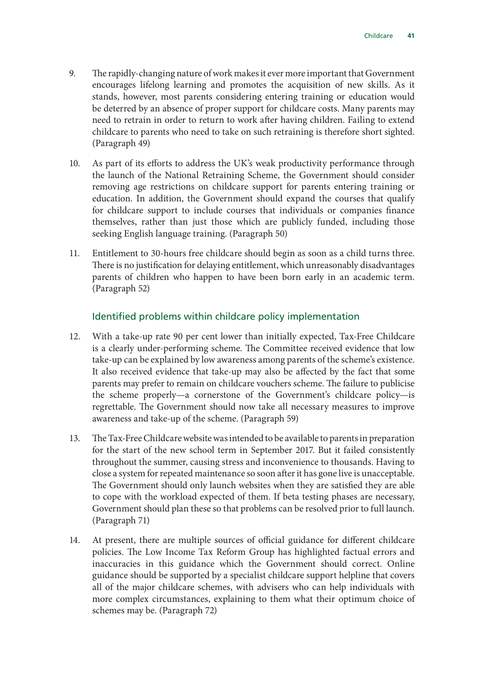- 9. The rapidly-changing nature of work makes it ever more important that Government encourages lifelong learning and promotes the acquisition of new skills. As it stands, however, most parents considering entering training or education would be deterred by an absence of proper support for childcare costs. Many parents may need to retrain in order to return to work after having children. Failing to extend childcare to parents who need to take on such retraining is therefore short sighted. (Paragraph 49)
- 10. As part of its efforts to address the UK's weak productivity performance through the launch of the National Retraining Scheme, the Government should consider removing age restrictions on childcare support for parents entering training or education. In addition, the Government should expand the courses that qualify for childcare support to include courses that individuals or companies finance themselves, rather than just those which are publicly funded, including those seeking English language training. (Paragraph 50)
- 11. Entitlement to 30-hours free childcare should begin as soon as a child turns three. There is no justification for delaying entitlement, which unreasonably disadvantages parents of children who happen to have been born early in an academic term. (Paragraph 52)

#### Identified problems within childcare policy implementation

- 12. With a take-up rate 90 per cent lower than initially expected, Tax-Free Childcare is a clearly under-performing scheme. The Committee received evidence that low take-up can be explained by low awareness among parents of the scheme's existence. It also received evidence that take-up may also be affected by the fact that some parents may prefer to remain on childcare vouchers scheme. The failure to publicise the scheme properly—a cornerstone of the Government's childcare policy—is regrettable. The Government should now take all necessary measures to improve awareness and take-up of the scheme. (Paragraph 59)
- 13. The Tax-Free Childcare website was intended to be available to parents in preparation for the start of the new school term in September 2017. But it failed consistently throughout the summer, causing stress and inconvenience to thousands. Having to close a system for repeated maintenance so soon after it has gone live is unacceptable. The Government should only launch websites when they are satisfied they are able to cope with the workload expected of them. If beta testing phases are necessary, Government should plan these so that problems can be resolved prior to full launch. (Paragraph 71)
- 14. At present, there are multiple sources of official guidance for different childcare policies. The Low Income Tax Reform Group has highlighted factual errors and inaccuracies in this guidance which the Government should correct. Online guidance should be supported by a specialist childcare support helpline that covers all of the major childcare schemes, with advisers who can help individuals with more complex circumstances, explaining to them what their optimum choice of schemes may be. (Paragraph 72)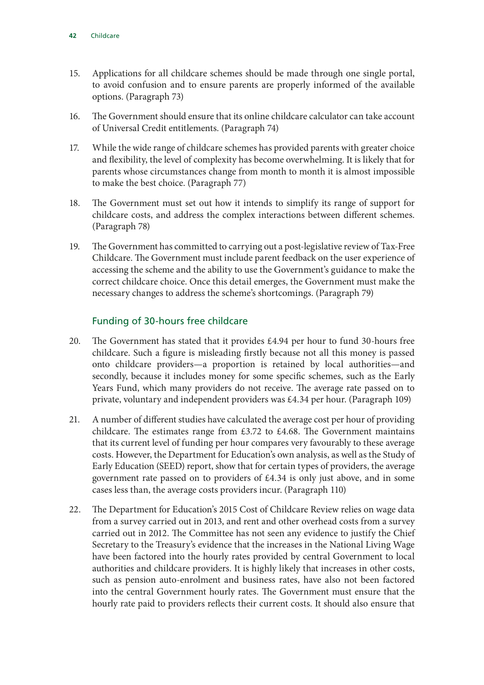- 15. Applications for all childcare schemes should be made through one single portal, to avoid confusion and to ensure parents are properly informed of the available options. (Paragraph 73)
- 16. The Government should ensure that its online childcare calculator can take account of Universal Credit entitlements. (Paragraph 74)
- 17. While the wide range of childcare schemes has provided parents with greater choice and flexibility, the level of complexity has become overwhelming. It is likely that for parents whose circumstances change from month to month it is almost impossible to make the best choice. (Paragraph 77)
- 18. The Government must set out how it intends to simplify its range of support for childcare costs, and address the complex interactions between different schemes. (Paragraph 78)
- 19. The Government has committed to carrying out a post-legislative review of Tax-Free Childcare. The Government must include parent feedback on the user experience of accessing the scheme and the ability to use the Government's guidance to make the correct childcare choice. Once this detail emerges, the Government must make the necessary changes to address the scheme's shortcomings. (Paragraph 79)

#### Funding of 30-hours free childcare

- 20. The Government has stated that it provides £4.94 per hour to fund 30-hours free childcare. Such a figure is misleading firstly because not all this money is passed onto childcare providers—a proportion is retained by local authorities—and secondly, because it includes money for some specific schemes, such as the Early Years Fund, which many providers do not receive. The average rate passed on to private, voluntary and independent providers was £4.34 per hour. (Paragraph 109)
- 21. A number of different studies have calculated the average cost per hour of providing childcare. The estimates range from £3.72 to £4.68. The Government maintains that its current level of funding per hour compares very favourably to these average costs. However, the Department for Education's own analysis, as well as the Study of Early Education (SEED) report, show that for certain types of providers, the average government rate passed on to providers of £4.34 is only just above, and in some cases less than, the average costs providers incur. (Paragraph 110)
- 22. The Department for Education's 2015 Cost of Childcare Review relies on wage data from a survey carried out in 2013, and rent and other overhead costs from a survey carried out in 2012. The Committee has not seen any evidence to justify the Chief Secretary to the Treasury's evidence that the increases in the National Living Wage have been factored into the hourly rates provided by central Government to local authorities and childcare providers. It is highly likely that increases in other costs, such as pension auto-enrolment and business rates, have also not been factored into the central Government hourly rates. The Government must ensure that the hourly rate paid to providers reflects their current costs. It should also ensure that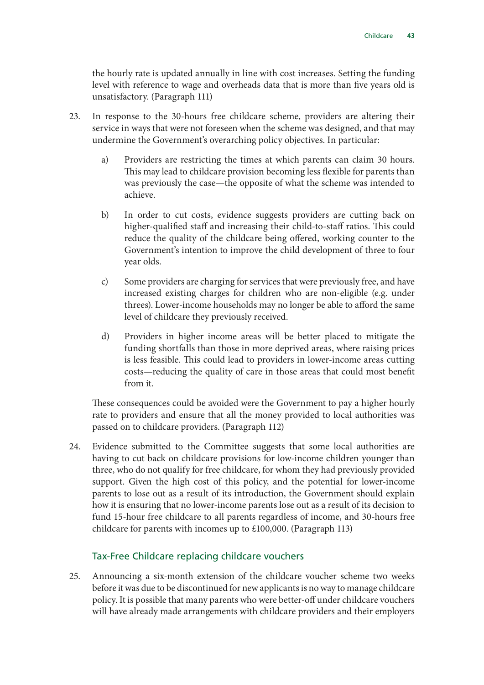the hourly rate is updated annually in line with cost increases. Setting the funding level with reference to wage and overheads data that is more than five years old is unsatisfactory. (Paragraph 111)

- 23. In response to the 30-hours free childcare scheme, providers are altering their service in ways that were not foreseen when the scheme was designed, and that may undermine the Government's overarching policy objectives. In particular:
	- a) Providers are restricting the times at which parents can claim 30 hours. This may lead to childcare provision becoming less flexible for parents than was previously the case—the opposite of what the scheme was intended to achieve.
	- b) In order to cut costs, evidence suggests providers are cutting back on higher-qualified staff and increasing their child-to-staff ratios. This could reduce the quality of the childcare being offered, working counter to the Government's intention to improve the child development of three to four year olds.
	- c) Some providers are charging for services that were previously free, and have increased existing charges for children who are non-eligible (e.g. under threes). Lower-income households may no longer be able to afford the same level of childcare they previously received.
	- d) Providers in higher income areas will be better placed to mitigate the funding shortfalls than those in more deprived areas, where raising prices is less feasible. This could lead to providers in lower-income areas cutting costs—reducing the quality of care in those areas that could most benefit from it.

These consequences could be avoided were the Government to pay a higher hourly rate to providers and ensure that all the money provided to local authorities was passed on to childcare providers. (Paragraph 112)

24. Evidence submitted to the Committee suggests that some local authorities are having to cut back on childcare provisions for low-income children younger than three, who do not qualify for free childcare, for whom they had previously provided support. Given the high cost of this policy, and the potential for lower-income parents to lose out as a result of its introduction, the Government should explain how it is ensuring that no lower-income parents lose out as a result of its decision to fund 15-hour free childcare to all parents regardless of income, and 30-hours free childcare for parents with incomes up to £100,000. (Paragraph 113)

#### Tax-Free Childcare replacing childcare vouchers

25. Announcing a six-month extension of the childcare voucher scheme two weeks before it was due to be discontinued for new applicants is no way to manage childcare policy. It is possible that many parents who were better-off under childcare vouchers will have already made arrangements with childcare providers and their employers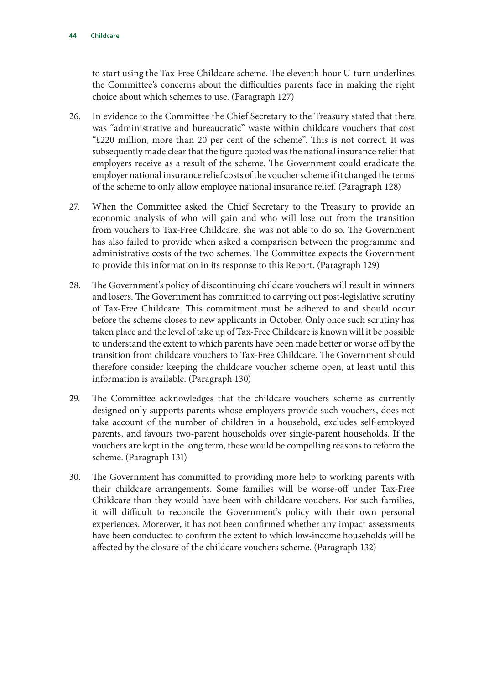to start using the Tax-Free Childcare scheme. The eleventh-hour U-turn underlines the Committee's concerns about the difficulties parents face in making the right choice about which schemes to use. (Paragraph 127)

- 26. In evidence to the Committee the Chief Secretary to the Treasury stated that there was "administrative and bureaucratic" waste within childcare vouchers that cost "£220 million, more than 20 per cent of the scheme". This is not correct. It was subsequently made clear that the figure quoted was the national insurance relief that employers receive as a result of the scheme. The Government could eradicate the employer national insurance relief costs of the voucher scheme if it changed the terms of the scheme to only allow employee national insurance relief. (Paragraph 128)
- 27. When the Committee asked the Chief Secretary to the Treasury to provide an economic analysis of who will gain and who will lose out from the transition from vouchers to Tax-Free Childcare, she was not able to do so. The Government has also failed to provide when asked a comparison between the programme and administrative costs of the two schemes. The Committee expects the Government to provide this information in its response to this Report. (Paragraph 129)
- 28. The Government's policy of discontinuing childcare vouchers will result in winners and losers. The Government has committed to carrying out post-legislative scrutiny of Tax-Free Childcare. This commitment must be adhered to and should occur before the scheme closes to new applicants in October. Only once such scrutiny has taken place and the level of take up of Tax-Free Childcare is known will it be possible to understand the extent to which parents have been made better or worse off by the transition from childcare vouchers to Tax-Free Childcare. The Government should therefore consider keeping the childcare voucher scheme open, at least until this information is available. (Paragraph 130)
- 29. The Committee acknowledges that the childcare vouchers scheme as currently designed only supports parents whose employers provide such vouchers, does not take account of the number of children in a household, excludes self-employed parents, and favours two-parent households over single-parent households. If the vouchers are kept in the long term, these would be compelling reasons to reform the scheme. (Paragraph 131)
- 30. The Government has committed to providing more help to working parents with their childcare arrangements. Some families will be worse-off under Tax-Free Childcare than they would have been with childcare vouchers. For such families, it will difficult to reconcile the Government's policy with their own personal experiences. Moreover, it has not been confirmed whether any impact assessments have been conducted to confirm the extent to which low-income households will be affected by the closure of the childcare vouchers scheme. (Paragraph 132)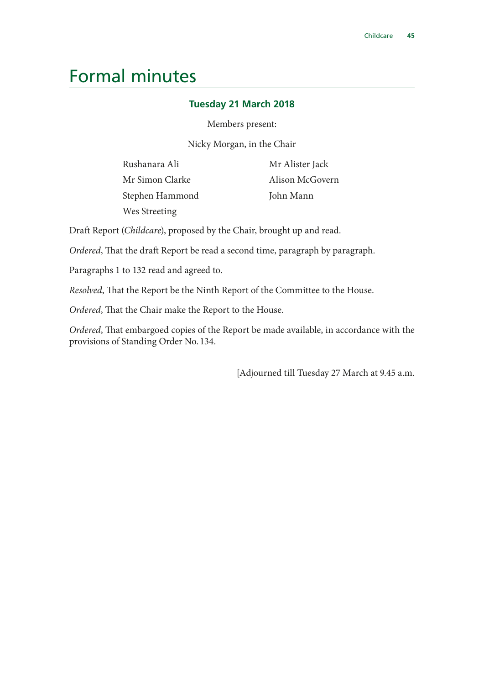### <span id="page-46-0"></span>Formal minutes

#### **Tuesday 21 March 2018**

Members present:

Nicky Morgan, in the Chair

Rushanara Ali Mr Simon Clarke Stephen Hammond Wes Streeting

Mr Alister Jack Alison McGovern John Mann

Draft Report (*Childcare*), proposed by the Chair, brought up and read.

*Ordered*, That the draft Report be read a second time, paragraph by paragraph.

Paragraphs 1 to 132 read and agreed to.

*Resolved*, That the Report be the Ninth Report of the Committee to the House.

*Ordered*, That the Chair make the Report to the House.

*Ordered*, That embargoed copies of the Report be made available, in accordance with the provisions of Standing Order No. 134.

[Adjourned till Tuesday 27 March at 9.45 a.m.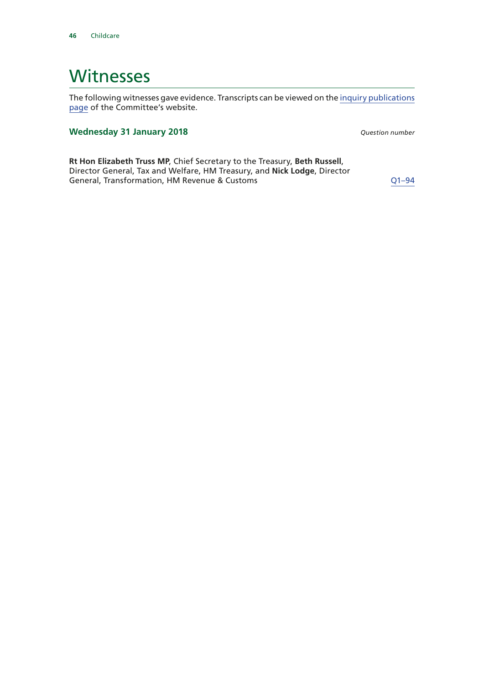### <span id="page-47-0"></span>**Witnesses**

The following witnesses gave evidence. Transcripts can be viewed on the [inquiry publications](https://www.parliament.uk/business/committees/committees-a-z/commons-select/treasury-committee/inquiries1/parliament-2017/childcare-17-19/publications/) [page](https://www.parliament.uk/business/committees/committees-a-z/commons-select/treasury-committee/inquiries1/parliament-2017/childcare-17-19/publications/) of the Committee's website.

#### **Wednesday 31 January 2018** *Question number*

**Rt Hon Elizabeth Truss MP**, Chief Secretary to the Treasury, **Beth Russell**, Director General, Tax and Welfare, HM Treasury, and **Nick Lodge**, Director General, Transformation, HM Revenue & Customs  $Q1-94$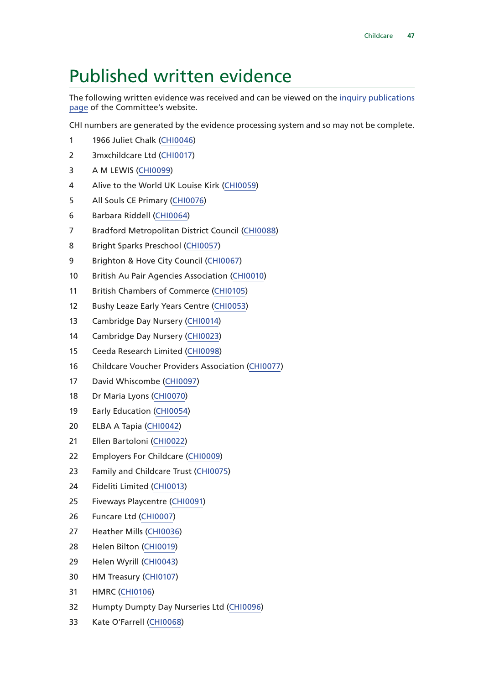### <span id="page-48-0"></span>Published written evidence

The following written evidence was received and can be viewed on the [inquiry publications](https://www.parliament.uk/business/committees/committees-a-z/commons-select/treasury-committee/inquiries1/parliament-2017/childcare-17-19/publications/) [page](https://www.parliament.uk/business/committees/committees-a-z/commons-select/treasury-committee/inquiries1/parliament-2017/childcare-17-19/publications/) of the Committee's website.

CHI numbers are generated by the evidence processing system and so may not be complete.

- 1966 Juliet Chalk [\(CHI0046\)](http://data.parliament.uk/WrittenEvidence/CommitteeEvidence.svc/EvidenceDocument/Treasury/Childcare/written/78067.html)
- 3mxchildcare Ltd [\(CHI0017](http://data.parliament.uk/WrittenEvidence/CommitteeEvidence.svc/EvidenceDocument/Treasury/Childcare/written/77803.html))
- A M LEWIS [\(CHI0099\)](http://data.parliament.uk/WrittenEvidence/CommitteeEvidence.svc/EvidenceDocument/Treasury/Childcare/written/78209.html)
- Alive to the World UK Louise Kirk [\(CHI0059\)](http://data.parliament.uk/WrittenEvidence/CommitteeEvidence.svc/EvidenceDocument/Treasury/Childcare/written/78107.html)
- All Souls CE Primary [\(CHI0076\)](http://data.parliament.uk/WrittenEvidence/CommitteeEvidence.svc/EvidenceDocument/Treasury/Childcare/written/78151.html)
- Barbara Riddell [\(CHI0064](http://data.parliament.uk/WrittenEvidence/CommitteeEvidence.svc/EvidenceDocument/Treasury/Childcare/written/78118.html))
- Bradford Metropolitan District Council [\(CHI0088](http://data.parliament.uk/WrittenEvidence/CommitteeEvidence.svc/EvidenceDocument/Treasury/Childcare/written/78192.html))
- Bright Sparks Preschool [\(CHI0057](http://data.parliament.uk/WrittenEvidence/CommitteeEvidence.svc/EvidenceDocument/Treasury/Childcare/written/78090.html))
- 9 Brighton & Hove City Council [\(CHI0067](http://data.parliament.uk/WrittenEvidence/CommitteeEvidence.svc/EvidenceDocument/Treasury/Childcare/written/78129.html))
- British Au Pair Agencies Association [\(CHI0010\)](http://data.parliament.uk/WrittenEvidence/CommitteeEvidence.svc/EvidenceDocument/Treasury/Childcare/written/77499.html)
- British Chambers of Commerce [\(CHI0105\)](http://data.parliament.uk/WrittenEvidence/CommitteeEvidence.svc/EvidenceDocument/Treasury/Childcare/written/78319.html)
- 12 Bushy Leaze Early Years Centre [\(CHI0053](http://data.parliament.uk/WrittenEvidence/CommitteeEvidence.svc/EvidenceDocument/Treasury/Childcare/written/78085.html))
- Cambridge Day Nursery ([CHI0014\)](http://data.parliament.uk/WrittenEvidence/CommitteeEvidence.svc/EvidenceDocument/Treasury/Childcare/written/77715.html)
- Cambridge Day Nursery ([CHI0023](http://data.parliament.uk/WrittenEvidence/CommitteeEvidence.svc/EvidenceDocument/Treasury/Childcare/written/77873.html))
- Ceeda Research Limited ([CHI0098\)](http://data.parliament.uk/WrittenEvidence/CommitteeEvidence.svc/EvidenceDocument/Treasury/Childcare/written/78208.html)
- Childcare Voucher Providers Association [\(CHI0077](http://data.parliament.uk/WrittenEvidence/CommitteeEvidence.svc/EvidenceDocument/Treasury/Childcare/written/78152.html))
- David Whiscombe [\(CHI0097](http://data.parliament.uk/WrittenEvidence/CommitteeEvidence.svc/EvidenceDocument/Treasury/Childcare/written/78205.html))
- Dr Maria Lyons [\(CHI0070\)](http://data.parliament.uk/WrittenEvidence/CommitteeEvidence.svc/EvidenceDocument/Treasury/Childcare/written/78140.html)
- Early Education ([CHI0054\)](http://data.parliament.uk/WrittenEvidence/CommitteeEvidence.svc/EvidenceDocument/Treasury/Childcare/written/78086.html)
- ELBA A Tapia ([CHI0042\)](http://data.parliament.uk/WrittenEvidence/CommitteeEvidence.svc/EvidenceDocument/Treasury/Childcare/written/78037.html)
- Ellen Bartoloni [\(CHI0022](http://data.parliament.uk/WrittenEvidence/CommitteeEvidence.svc/EvidenceDocument/Treasury/Childcare/written/77871.html))
- Employers For Childcare [\(CHI0009\)](http://data.parliament.uk/WrittenEvidence/CommitteeEvidence.svc/EvidenceDocument/Treasury/Childcare/written/77489.html)
- Family and Childcare Trust ([CHI0075](http://data.parliament.uk/WrittenEvidence/CommitteeEvidence.svc/EvidenceDocument/Treasury/Childcare/written/78146.html))
- Fideliti Limited ([CHI0013\)](http://data.parliament.uk/WrittenEvidence/CommitteeEvidence.svc/EvidenceDocument/Treasury/Childcare/written/77650.html)
- Fiveways Playcentre [\(CHI0091\)](http://data.parliament.uk/WrittenEvidence/CommitteeEvidence.svc/EvidenceDocument/Treasury/Childcare/written/78198.html)
- Funcare Ltd ([CHI0007\)](http://data.parliament.uk/WrittenEvidence/CommitteeEvidence.svc/EvidenceDocument/Treasury/Childcare/written/77224.html)
- Heather Mills ([CHI0036\)](http://data.parliament.uk/WrittenEvidence/CommitteeEvidence.svc/EvidenceDocument/Treasury/Childcare/written/78001.html)
- Helen Bilton [\(CHI0019](http://data.parliament.uk/WrittenEvidence/CommitteeEvidence.svc/EvidenceDocument/Treasury/Childcare/written/77825.html))
- Helen Wyrill [\(CHI0043\)](http://data.parliament.uk/WrittenEvidence/CommitteeEvidence.svc/EvidenceDocument/Treasury/Childcare/written/78042.html)
- HM Treasury [\(CHI0107](http://data.parliament.uk/WrittenEvidence/CommitteeEvidence.svc/EvidenceDocument/Treasury/Childcare/written/79719.html))
- HMRC [\(CHI0106\)](http://data.parliament.uk/WrittenEvidence/CommitteeEvidence.svc/EvidenceDocument/Treasury/Childcare/written/78793.html)
- Humpty Dumpty Day Nurseries Ltd ([CHI0096](http://data.parliament.uk/WrittenEvidence/CommitteeEvidence.svc/EvidenceDocument/Treasury/Childcare/written/78204.html))
- Kate O'Farrell ([CHI0068](http://data.parliament.uk/WrittenEvidence/CommitteeEvidence.svc/EvidenceDocument/Treasury/Childcare/written/78135.html))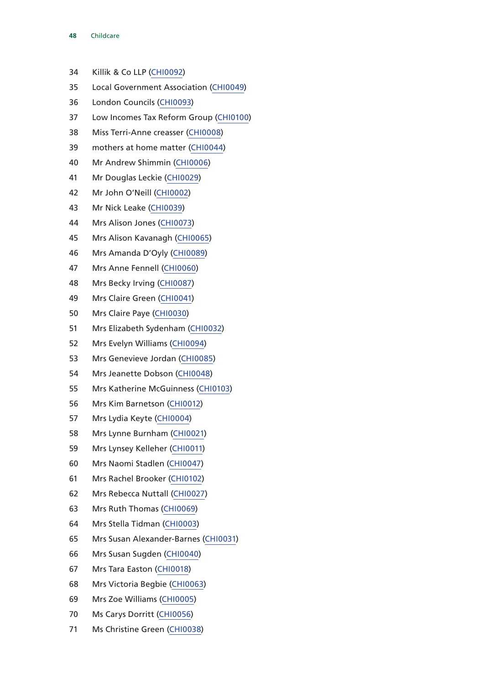- Childcare
- Killik & Co LLP [\(CHI0092\)](http://data.parliament.uk/WrittenEvidence/CommitteeEvidence.svc/EvidenceDocument/Treasury/Childcare/written/78199.html)
- Local Government Association [\(CHI0049](http://data.parliament.uk/WrittenEvidence/CommitteeEvidence.svc/EvidenceDocument/Treasury/Childcare/written/78075.html))
- London Councils [\(CHI0093](http://data.parliament.uk/WrittenEvidence/CommitteeEvidence.svc/EvidenceDocument/Treasury/Childcare/written/78200.html))
- Low Incomes Tax Reform Group ([CHI0100\)](http://data.parliament.uk/WrittenEvidence/CommitteeEvidence.svc/EvidenceDocument/Treasury/Childcare/written/78215.html)
- Miss Terri-Anne creasser [\(CHI0008\)](http://data.parliament.uk/WrittenEvidence/CommitteeEvidence.svc/EvidenceDocument/Treasury/Childcare/written/77382.html)
- mothers at home matter [\(CHI0044](http://data.parliament.uk/WrittenEvidence/CommitteeEvidence.svc/EvidenceDocument/Treasury/Childcare/written/78049.html))
- Mr Andrew Shimmin [\(CHI0006\)](http://data.parliament.uk/WrittenEvidence/CommitteeEvidence.svc/EvidenceDocument/Treasury/Childcare/written/77087.html)
- Mr Douglas Leckie [\(CHI0029](http://data.parliament.uk/WrittenEvidence/CommitteeEvidence.svc/EvidenceDocument/Treasury/Childcare/written/77939.html))
- Mr John O'Neill [\(CHI0002](http://data.parliament.uk/WrittenEvidence/CommitteeEvidence.svc/EvidenceDocument/Treasury/Childcare/written/76664.html))
- Mr Nick Leake [\(CHI0039](http://data.parliament.uk/WrittenEvidence/CommitteeEvidence.svc/EvidenceDocument/Treasury/Childcare/written/78015.html))
- Mrs Alison Jones [\(CHI0073\)](http://data.parliament.uk/WrittenEvidence/CommitteeEvidence.svc/EvidenceDocument/Treasury/Childcare/written/78144.html)
- Mrs Alison Kavanagh [\(CHI0065](http://data.parliament.uk/WrittenEvidence/CommitteeEvidence.svc/EvidenceDocument/Treasury/Childcare/written/78119.html))
- Mrs Amanda D'Oyly ([CHI0089\)](http://data.parliament.uk/WrittenEvidence/CommitteeEvidence.svc/EvidenceDocument/Treasury/Childcare/written/78194.html)
- Mrs Anne Fennell ([CHI0060\)](http://data.parliament.uk/WrittenEvidence/CommitteeEvidence.svc/EvidenceDocument/Treasury/Childcare/written/78108.html)
- Mrs Becky Irving ([CHI0087\)](http://data.parliament.uk/WrittenEvidence/CommitteeEvidence.svc/EvidenceDocument/Treasury/Childcare/written/78189.html)
- Mrs Claire Green [\(CHI0041\)](http://data.parliament.uk/WrittenEvidence/CommitteeEvidence.svc/EvidenceDocument/Treasury/Childcare/written/78036.html)
- Mrs Claire Paye [\(CHI0030](http://data.parliament.uk/WrittenEvidence/CommitteeEvidence.svc/EvidenceDocument/Treasury/Childcare/written/77941.html))
- Mrs Elizabeth Sydenham [\(CHI0032\)](http://data.parliament.uk/WrittenEvidence/CommitteeEvidence.svc/EvidenceDocument/Treasury/Childcare/written/77945.html)
- Mrs Evelyn Williams ([CHI0094](http://data.parliament.uk/WrittenEvidence/CommitteeEvidence.svc/EvidenceDocument/Treasury/Childcare/written/78201.html))
- Mrs Genevieve Jordan ([CHI0085](http://data.parliament.uk/WrittenEvidence/CommitteeEvidence.svc/EvidenceDocument/Treasury/Childcare/written/78185.html))
- Mrs Jeanette Dobson [\(CHI0048](http://data.parliament.uk/WrittenEvidence/CommitteeEvidence.svc/EvidenceDocument/Treasury/Childcare/written/78074.html))
- Mrs Katherine McGuinness ([CHI0103\)](http://data.parliament.uk/WrittenEvidence/CommitteeEvidence.svc/EvidenceDocument/Treasury/Childcare/written/78229.html)
- Mrs Kim Barnetson [\(CHI0012](http://data.parliament.uk/WrittenEvidence/CommitteeEvidence.svc/EvidenceDocument/Treasury/Childcare/written/77578.html))
- Mrs Lydia Keyte [\(CHI0004\)](http://data.parliament.uk/WrittenEvidence/CommitteeEvidence.svc/EvidenceDocument/Treasury/Childcare/written/76910.html)
- Mrs Lynne Burnham [\(CHI0021\)](http://data.parliament.uk/WrittenEvidence/CommitteeEvidence.svc/EvidenceDocument/Treasury/Childcare/written/77836.html)
- Mrs Lynsey Kelleher ([CHI0011](http://data.parliament.uk/WrittenEvidence/CommitteeEvidence.svc/EvidenceDocument/Treasury/Childcare/written/77576.html))
- Mrs Naomi Stadlen [\(CHI0047](http://data.parliament.uk/WrittenEvidence/CommitteeEvidence.svc/EvidenceDocument/Treasury/Childcare/written/78071.html))
- Mrs Rachel Brooker [\(CHI0102](http://data.parliament.uk/WrittenEvidence/CommitteeEvidence.svc/EvidenceDocument/Treasury/Childcare/written/78228.html))
- Mrs Rebecca Nuttall [\(CHI0027](http://data.parliament.uk/WrittenEvidence/CommitteeEvidence.svc/EvidenceDocument/Treasury/Childcare/written/77937.html))
- Mrs Ruth Thomas [\(CHI0069](http://data.parliament.uk/WrittenEvidence/CommitteeEvidence.svc/EvidenceDocument/Treasury/Childcare/written/78137.html))
- Mrs Stella Tidman [\(CHI0003\)](http://data.parliament.uk/WrittenEvidence/CommitteeEvidence.svc/EvidenceDocument/Treasury/Childcare/written/76751.html)
- Mrs Susan Alexander-Barnes [\(CHI0031](http://data.parliament.uk/WrittenEvidence/CommitteeEvidence.svc/EvidenceDocument/Treasury/Childcare/written/77943.html))
- Mrs Susan Sugden ([CHI0040](http://data.parliament.uk/WrittenEvidence/CommitteeEvidence.svc/EvidenceDocument/Treasury/Childcare/written/78035.html))
- Mrs Tara Easton ([CHI0018\)](http://data.parliament.uk/WrittenEvidence/CommitteeEvidence.svc/EvidenceDocument/Treasury/Childcare/written/77820.html)
- Mrs Victoria Begbie [\(CHI0063](http://data.parliament.uk/WrittenEvidence/CommitteeEvidence.svc/EvidenceDocument/Treasury/Childcare/written/78114.html))
- Mrs Zoe Williams [\(CHI0005](http://data.parliament.uk/WrittenEvidence/CommitteeEvidence.svc/EvidenceDocument/Treasury/Childcare/written/76989.html))
- Ms Carys Dorritt ([CHI0056\)](http://data.parliament.uk/WrittenEvidence/CommitteeEvidence.svc/EvidenceDocument/Treasury/Childcare/written/78088.html)
- Ms Christine Green [\(CHI0038](http://data.parliament.uk/WrittenEvidence/CommitteeEvidence.svc/EvidenceDocument/Treasury/Childcare/written/78011.html))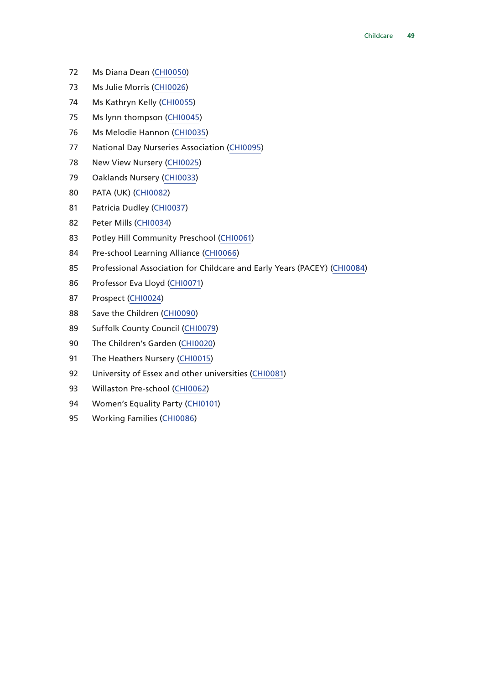- Ms Diana Dean [\(CHI0050](http://data.parliament.uk/WrittenEvidence/CommitteeEvidence.svc/EvidenceDocument/Treasury/Childcare/written/78077.html))
- Ms Julie Morris ([CHI0026](http://data.parliament.uk/WrittenEvidence/CommitteeEvidence.svc/EvidenceDocument/Treasury/Childcare/written/77932.html))
- Ms Kathryn Kelly ([CHI0055\)](http://data.parliament.uk/WrittenEvidence/CommitteeEvidence.svc/EvidenceDocument/Treasury/Childcare/written/78087.html)
- Ms lynn thompson [\(CHI0045](http://data.parliament.uk/WrittenEvidence/CommitteeEvidence.svc/EvidenceDocument/Treasury/Childcare/written/78051.html))
- Ms Melodie Hannon [\(CHI0035](http://data.parliament.uk/WrittenEvidence/CommitteeEvidence.svc/EvidenceDocument/Treasury/Childcare/written/77989.html))
- National Day Nurseries Association [\(CHI0095](http://data.parliament.uk/WrittenEvidence/CommitteeEvidence.svc/EvidenceDocument/Treasury/Childcare/written/78203.html))
- New View Nursery [\(CHI0025\)](http://data.parliament.uk/WrittenEvidence/CommitteeEvidence.svc/EvidenceDocument/Treasury/Childcare/written/77925.html)
- Oaklands Nursery [\(CHI0033\)](http://data.parliament.uk/WrittenEvidence/CommitteeEvidence.svc/EvidenceDocument/Treasury/Childcare/written/77958.html)
- PATA (UK) ([CHI0082\)](http://data.parliament.uk/WrittenEvidence/CommitteeEvidence.svc/EvidenceDocument/Treasury/Childcare/written/78179.html)
- Patricia Dudley [\(CHI0037](http://data.parliament.uk/WrittenEvidence/CommitteeEvidence.svc/EvidenceDocument/Treasury/Childcare/written/78002.html))
- Peter Mills [\(CHI0034](http://data.parliament.uk/WrittenEvidence/CommitteeEvidence.svc/EvidenceDocument/Treasury/Childcare/written/77967.html))
- Potley Hill Community Preschool [\(CHI0061](http://data.parliament.uk/WrittenEvidence/CommitteeEvidence.svc/EvidenceDocument/Treasury/Childcare/written/78110.html))
- Pre-school Learning Alliance [\(CHI0066](http://data.parliament.uk/WrittenEvidence/CommitteeEvidence.svc/EvidenceDocument/Treasury/Childcare/written/78128.html))
- Professional Association for Childcare and Early Years (PACEY) [\(CHI0084\)](http://data.parliament.uk/WrittenEvidence/CommitteeEvidence.svc/EvidenceDocument/Treasury/Childcare/written/78184.html)
- Professor Eva Lloyd [\(CHI0071\)](http://data.parliament.uk/WrittenEvidence/CommitteeEvidence.svc/EvidenceDocument/Treasury/Childcare/written/78141.html)
- Prospect ([CHI0024](http://data.parliament.uk/WrittenEvidence/CommitteeEvidence.svc/EvidenceDocument/Treasury/Childcare/written/77882.html))
- Save the Children [\(CHI0090](http://data.parliament.uk/WrittenEvidence/CommitteeEvidence.svc/EvidenceDocument/Treasury/Childcare/written/78197.html))
- Suffolk County Council ([CHI0079](http://data.parliament.uk/WrittenEvidence/CommitteeEvidence.svc/EvidenceDocument/Treasury/Childcare/written/78159.html))
- The Children's Garden [\(CHI0020\)](http://data.parliament.uk/WrittenEvidence/CommitteeEvidence.svc/EvidenceDocument/Treasury/Childcare/written/77826.html)
- The Heathers Nursery ([CHI0015](http://data.parliament.uk/WrittenEvidence/CommitteeEvidence.svc/EvidenceDocument/Treasury/Childcare/written/77733.html))
- 92 University of Essex and other universities [\(CHI0081\)](http://data.parliament.uk/WrittenEvidence/CommitteeEvidence.svc/EvidenceDocument/Treasury/Childcare/written/78177.html)
- Willaston Pre-school [\(CHI0062](http://data.parliament.uk/WrittenEvidence/CommitteeEvidence.svc/EvidenceDocument/Treasury/Childcare/written/78112.html))
- 94 Women's Equality Party [\(CHI0101\)](http://data.parliament.uk/WrittenEvidence/CommitteeEvidence.svc/EvidenceDocument/Treasury/Childcare/written/78225.html)
- Working Families ([CHI0086\)](http://data.parliament.uk/WrittenEvidence/CommitteeEvidence.svc/EvidenceDocument/Treasury/Childcare/written/78188.html)